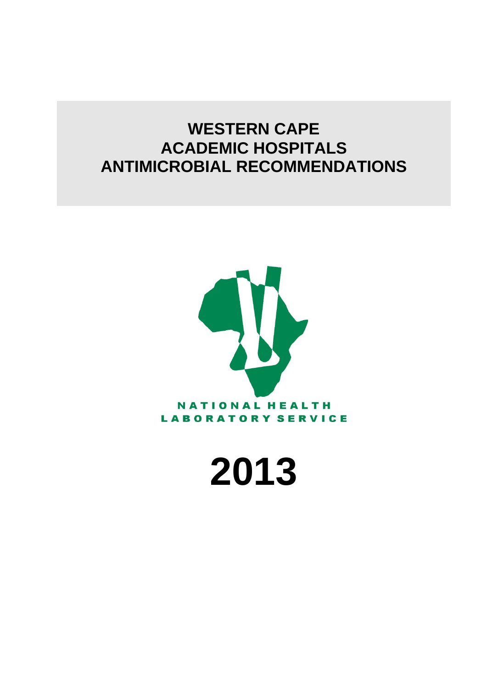# **WESTERN CAPE ACADEMIC HOSPITALS ANTIMICROBIAL RECOMMENDATIONS**



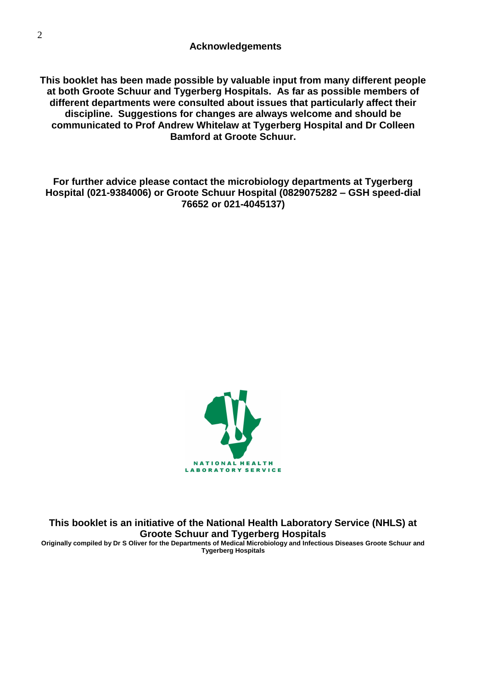**This booklet has been made possible by valuable input from many different people at both Groote Schuur and Tygerberg Hospitals. As far as possible members of different departments were consulted about issues that particularly affect their discipline. Suggestions for changes are always welcome and should be communicated to Prof Andrew Whitelaw at Tygerberg Hospital and Dr Colleen Bamford at Groote Schuur.**

**For further advice please contact the microbiology departments at Tygerberg Hospital (021-9384006) or Groote Schuur Hospital (0829075282 – GSH speed-dial 76652 or 021-4045137)**



**This booklet is an initiative of the National Health Laboratory Service (NHLS) at Groote Schuur and Tygerberg Hospitals**

**Originally compiled by Dr S Oliver for the Departments of Medical Microbiology and Infectious Diseases Groote Schuur and Tygerberg Hospitals**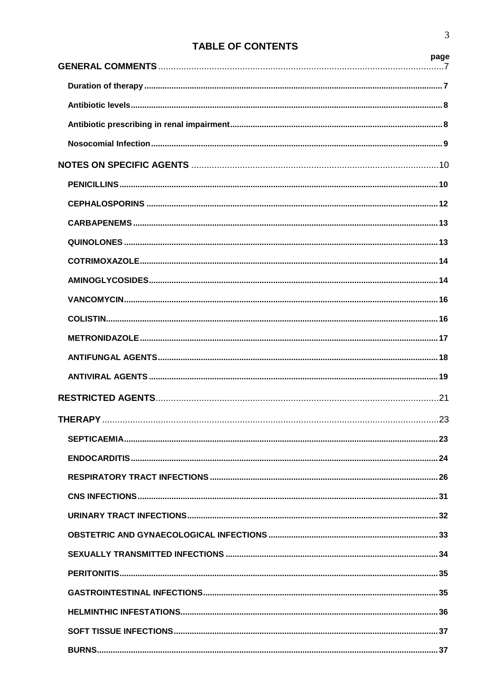# **TABLE OF CONTENTS**

|                | page |
|----------------|------|
|                |      |
|                |      |
|                |      |
|                |      |
|                |      |
|                |      |
|                |      |
|                |      |
|                |      |
|                |      |
|                |      |
|                |      |
|                |      |
|                |      |
|                |      |
|                |      |
|                |      |
| <b>THERAPY</b> |      |
|                |      |
|                |      |
|                |      |
|                |      |
|                |      |
|                |      |
|                |      |
|                |      |
|                |      |
|                |      |
|                |      |
|                |      |
|                |      |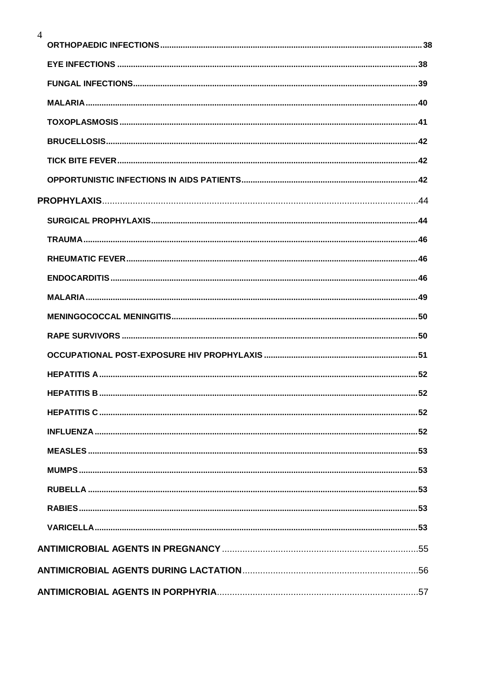| $\overline{4}$ |             |    |
|----------------|-------------|----|
|                |             |    |
|                |             |    |
|                |             |    |
|                |             |    |
|                |             |    |
|                |             |    |
|                |             |    |
|                |             |    |
|                |             |    |
|                |             |    |
|                |             |    |
|                |             |    |
|                |             |    |
|                |             |    |
|                |             |    |
|                |             |    |
|                |             |    |
|                | HFPATITIS R | 52 |
|                |             |    |
|                |             |    |
|                |             |    |
|                |             |    |
|                |             |    |
|                |             |    |
|                |             |    |
|                |             |    |
|                |             |    |
|                |             |    |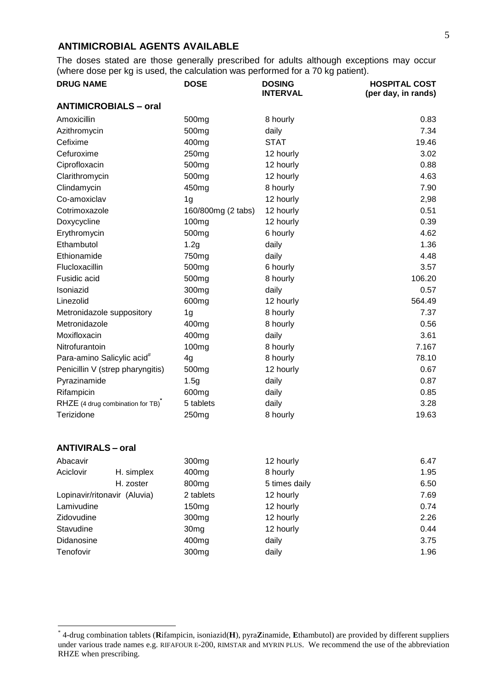#### <span id="page-4-0"></span>**ANTIMICROBIAL AGENTS AVAILABLE**

The doses stated are those generally prescribed for adults although exceptions may occur (where dose per kg is used, the calculation was performed for a 70 kg patient).

| <b>DRUG NAME</b>       |                                        | <b>DOSE</b>                          | <b>DOSING</b><br><b>INTERVAL</b> | <b>HOSPITAL COST</b><br>(per day, in rands) |
|------------------------|----------------------------------------|--------------------------------------|----------------------------------|---------------------------------------------|
|                        | <b>ANTIMICROBIALS - oral</b>           |                                      |                                  |                                             |
| Amoxicillin            |                                        | 500 <sub>mg</sub>                    | 8 hourly                         | 0.83                                        |
| Azithromycin           |                                        | 500mg                                | daily                            | 7.34                                        |
| Cefixime               |                                        | 400mg                                | <b>STAT</b>                      | 19.46                                       |
| Cefuroxime             |                                        | 250mg                                | 12 hourly                        | 3.02                                        |
| Ciprofloxacin          |                                        | 500 <sub>mg</sub>                    | 12 hourly                        | 0.88                                        |
| Clarithromycin         |                                        | 500mg                                | 12 hourly                        | 4.63                                        |
| Clindamycin            |                                        | 450mg                                | 8 hourly                         | 7.90                                        |
| Co-amoxiclav           |                                        | 1 <sub>g</sub><br>160/800mg (2 tabs) | 12 hourly                        | 2,98                                        |
| Cotrimoxazole          |                                        |                                      | 12 hourly                        | 0.51                                        |
| Doxycycline            |                                        | 100mg                                | 12 hourly                        | 0.39                                        |
| Erythromycin           |                                        | 500mg                                | 6 hourly                         | 4.62                                        |
| Ethambutol             |                                        | 1.2g                                 | daily                            | 1.36                                        |
| Ethionamide            |                                        | 750mg                                | daily                            | 4.48                                        |
| Flucloxacillin         |                                        | 500mg                                | 6 hourly                         | 3.57                                        |
| Fusidic acid           |                                        | 500mg                                | 8 hourly                         | 106.20                                      |
| Isoniazid              |                                        | 300mg                                | daily<br>12 hourly               | 0.57                                        |
| Linezolid              |                                        | 600mg                                |                                  | 564.49                                      |
|                        | Metronidazole suppository              | 1 <sub>g</sub>                       | 8 hourly                         | 7.37                                        |
| Metronidazole          |                                        | 400mg<br>400mg                       | 8 hourly<br>daily                | 0.56                                        |
| Moxifloxacin           |                                        |                                      |                                  | 3.61                                        |
| Nitrofurantoin         |                                        | 100mg                                | 8 hourly                         | 7.167                                       |
|                        | Para-amino Salicylic acid <sup>#</sup> | 4g                                   | 8 hourly                         | 78.10                                       |
|                        | Penicillin V (strep pharyngitis)       | 500mg                                | 12 hourly                        | 0.67                                        |
| Pyrazinamide           |                                        | 1.5g                                 | daily                            | 0.87                                        |
| Rifampicin             |                                        | 600mg                                | daily                            | 0.85                                        |
|                        | RHZE (4 drug combination for TB)       | 5 tablets                            | daily                            | 3.28                                        |
| Terizidone             |                                        | 250mg                                | 8 hourly                         | 19.63                                       |
| <b>ANTIVIRALS-oral</b> |                                        |                                      |                                  |                                             |
| Abacavir               |                                        | 300mg                                | 12 hourly                        | 6.47                                        |
| Aciclovir              | H. simplex                             | 400mg                                | 8 hourly                         | 1.95                                        |
|                        | H. zoster                              | 800mg                                | 5 times daily                    | 6.50                                        |
|                        | Lopinavir/ritonavir (Aluvia)           | 2 tablets                            | 12 hourly                        | 7.69                                        |
| Lamivudine             |                                        | 150 <sub>mg</sub>                    | 12 hourly                        | 0.74                                        |
| Zidovudine             |                                        | 300 <sub>mg</sub>                    | 12 hourly                        | 2.26                                        |
| Stavudine              |                                        | 30 <sub>mg</sub>                     | 12 hourly                        | 0.44                                        |
| Didanosine             |                                        | 400mg                                | daily                            | 3.75                                        |
| Tenofovir              |                                        | 300mg                                | daily                            | 1.96                                        |

 \* 4-drug combination tablets (**R**ifampicin, isoniazid(**H**), pyra**Z**inamide, **E**thambutol) are provided by different suppliers under various trade names e.g. RIFAFOUR E-200, RIMSTAR and MYRIN PLUS. We recommend the use of the abbreviation RHZE when prescribing.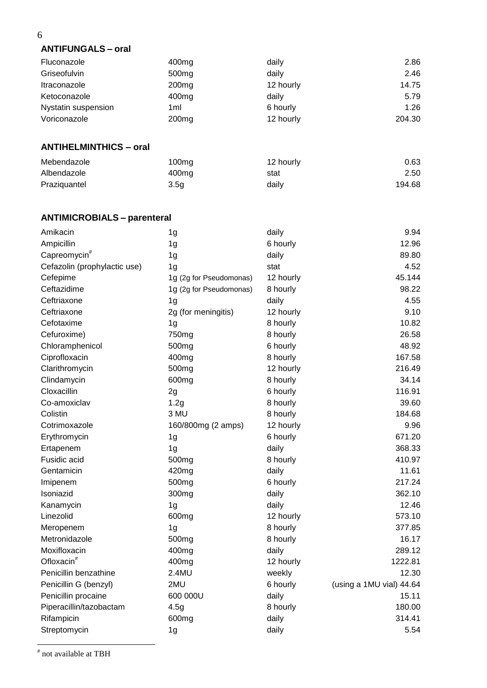### 6

#### **ANTIFUNGALS – oral**

| Fluconazole         | 400 <sub>mg</sub> | daily     | 2.86   |
|---------------------|-------------------|-----------|--------|
| Griseofulvin        | 500 <sub>mg</sub> | daily     | 2.46   |
| Itraconazole        | 200 <sub>mg</sub> | 12 hourly | 14.75  |
| Ketoconazole        | 400 <sub>mg</sub> | daily     | 5.79   |
| Nystatin suspension | 1ml               | 6 hourly  | 1.26   |
| Voriconazole        | 200 <sub>mg</sub> | 12 hourly | 204.30 |

# **ANTIHELMINTHICS – oral**

| Mebendazole  | 100mg | 12 hourly | 0.63   |
|--------------|-------|-----------|--------|
| Albendazole  | 400mg | stat      | 2.50   |
| Praziquantel | 3.5g  | daily     | 194.68 |

### **ANTIMICROBIALS – parenteral**

| 1 <sub>g</sub>          | daily     | 9.94                     |
|-------------------------|-----------|--------------------------|
| 1 <sub>g</sub>          | 6 hourly  | 12.96                    |
| daily<br>1 <sub>g</sub> |           | 89.80                    |
| 1 <sub>g</sub>          | stat      | 4.52                     |
| 1g (2g for Pseudomonas) | 12 hourly | 45.144                   |
| 1g (2g for Pseudomonas) | 8 hourly  | 98.22                    |
| 1 <sub>g</sub>          | daily     | 4.55                     |
| 2g (for meningitis)     | 12 hourly | 9.10                     |
| 1 <sub>g</sub>          | 8 hourly  | 10.82                    |
| 750mg                   | 8 hourly  | 26.58                    |
| 500 <sub>mg</sub>       | 6 hourly  | 48.92                    |
| 400mg                   | 8 hourly  | 167.58                   |
| 500mg                   | 12 hourly | 216.49                   |
| 600mg                   | 8 hourly  | 34.14                    |
| 2g                      | 6 hourly  | 116.91                   |
| 1.2g                    | 8 hourly  | 39.60                    |
| 3 MU                    | 8 hourly  | 184.68                   |
| 160/800mg (2 amps)      | 12 hourly | 9.96                     |
| 1 <sub>g</sub>          | 6 hourly  | 671.20                   |
| 1 <sub>g</sub>          | daily     | 368.33                   |
| 500 <sub>mg</sub>       | 8 hourly  | 410.97                   |
| 420mg                   | daily     | 11.61                    |
| 500 <sub>mg</sub>       | 6 hourly  | 217.24                   |
| 300mg                   | daily     | 362.10                   |
| 1 <sub>g</sub>          | daily     | 12.46                    |
| 600mg                   | 12 hourly | 573.10                   |
| 1 <sub>g</sub>          | 8 hourly  | 377.85                   |
| 500mg                   | 8 hourly  | 16.17                    |
| 400mg                   | daily     | 289.12                   |
| 400mg                   | 12 hourly | 1222.81                  |
| 2.4MU                   | weekly    | 12.30                    |
| 2MU                     | 6 hourly  | (using a 1MU vial) 44.64 |
| 600 000U                | daily     | 15.11                    |
| 4.5g                    | 8 hourly  | 180.00                   |
| 600mg                   | daily     | 314.41                   |
| 1 <sub>g</sub>          | daily     | 5.54                     |
|                         |           |                          |

# not available at TBH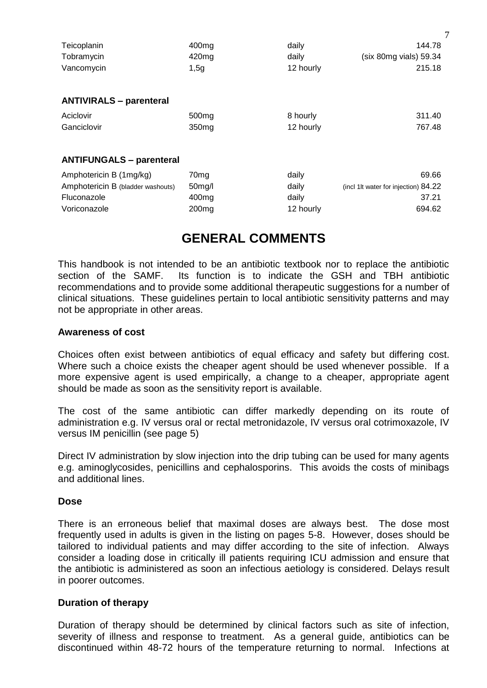| Teicoplanin<br>Tobramycin<br>Vancomycin | 400 <sub>mg</sub><br>420 <sub>mg</sub><br>1,5g | daily<br>daily<br>12 hourly | 144.78<br>(six 80mg vials) 59.34<br>215.18 |
|-----------------------------------------|------------------------------------------------|-----------------------------|--------------------------------------------|
| <b>ANTIVIRALS - parenteral</b>          |                                                |                             |                                            |
| Aciclovir                               | 500 <sub>mg</sub>                              | 8 hourly                    | 311.40                                     |
| Ganciclovir                             | 350 <sub>mg</sub>                              | 12 hourly                   | 767.48                                     |
| <b>ANTIFUNGALS - parenteral</b>         |                                                |                             |                                            |
| Amphotericin B (1mg/kg)                 | 70 <sub>mg</sub>                               | daily                       | 69.66                                      |
| Amphotericin B (bladder washouts)       | 50 <sub>m</sub> g/l                            | daily                       | (incl 1lt water for injection) 84.22       |
| Fluconazole                             | 400 <sub>mg</sub>                              | daily                       | 37.21                                      |
| Voriconazole                            | 200 <sub>mg</sub>                              | 12 hourly                   | 694.62                                     |

7

# <span id="page-6-0"></span>**GENERAL COMMENTS**

This handbook is not intended to be an antibiotic textbook nor to replace the antibiotic section of the SAMF. Its function is to indicate the GSH and TBH antibiotic recommendations and to provide some additional therapeutic suggestions for a number of clinical situations. These guidelines pertain to local antibiotic sensitivity patterns and may not be appropriate in other areas.

#### **Awareness of cost**

Choices often exist between antibiotics of equal efficacy and safety but differing cost. Where such a choice exists the cheaper agent should be used whenever possible. If a more expensive agent is used empirically, a change to a cheaper, appropriate agent should be made as soon as the sensitivity report is available.

The cost of the same antibiotic can differ markedly depending on its route of administration e.g. IV versus oral or rectal metronidazole, IV versus oral cotrimoxazole, IV versus IM penicillin (see page [5\)](#page-4-0)

Direct IV administration by slow injection into the drip tubing can be used for many agents e.g. aminoglycosides, penicillins and cephalosporins. This avoids the costs of minibags and additional lines.

#### **Dose**

There is an erroneous belief that maximal doses are always best. The dose most frequently used in adults is given in the listing on pages [5-](#page-4-0)8. However, doses should be tailored to individual patients and may differ according to the site of infection. Always consider a loading dose in critically ill patients requiring ICU admission and ensure that the antibiotic is administered as soon an infectious aetiology is considered. Delays result in poorer outcomes.

#### <span id="page-6-1"></span>**Duration of therapy**

Duration of therapy should be determined by clinical factors such as site of infection, severity of illness and response to treatment. As a general guide, antibiotics can be discontinued within 48-72 hours of the temperature returning to normal. Infections at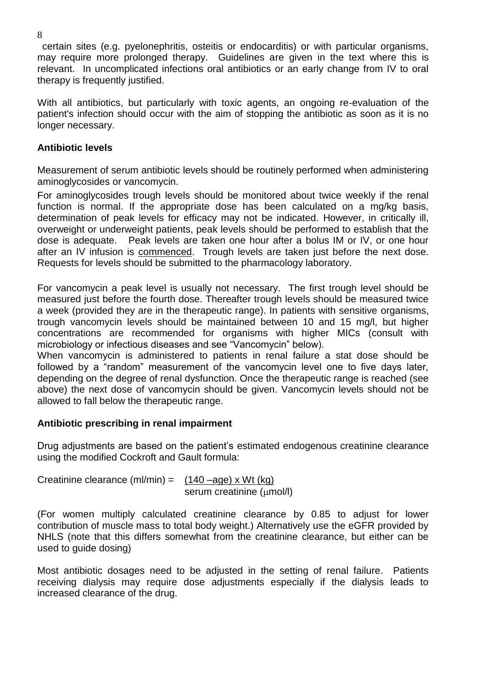certain sites (e.g. pyelonephritis, osteitis or endocarditis) or with particular organisms, may require more prolonged therapy. Guidelines are given in the text where this is relevant. In uncomplicated infections oral antibiotics or an early change from IV to oral therapy is frequently justified.

With all antibiotics, but particularly with toxic agents, an ongoing re-evaluation of the patient's infection should occur with the aim of stopping the antibiotic as soon as it is no longer necessary.

#### <span id="page-7-0"></span>**Antibiotic levels**

Measurement of serum antibiotic levels should be routinely performed when administering aminoglycosides or vancomycin.

For aminoglycosides trough levels should be monitored about twice weekly if the renal function is normal. If the appropriate dose has been calculated on a mg/kg basis, determination of peak levels for efficacy may not be indicated. However, in critically ill, overweight or underweight patients, peak levels should be performed to establish that the dose is adequate. Peak levels are taken one hour after a bolus IM or IV, or one hour after an IV infusion is commenced. Trough levels are taken just before the next dose. Requests for levels should be submitted to the pharmacology laboratory.

For vancomycin a peak level is usually not necessary. The first trough level should be measured just before the fourth dose. Thereafter trough levels should be measured twice a week (provided they are in the therapeutic range). In patients with sensitive organisms, trough vancomycin levels should be maintained between 10 and 15 mg/l, but higher concentrations are recommended for organisms with higher MICs (consult with microbiology or infectious diseases and see "Vancomycin" below).

When vancomycin is administered to patients in renal failure a stat dose should be followed by a "random" measurement of the vancomycin level one to five days later, depending on the degree of renal dysfunction. Once the therapeutic range is reached (see above) the next dose of vancomycin should be given. Vancomycin levels should not be allowed to fall below the therapeutic range.

#### <span id="page-7-1"></span>**Antibiotic prescribing in renal impairment**

Drug adjustments are based on the patient's estimated endogenous creatinine clearance using the modified Cockroft and Gault formula:

Creatinine clearance  $(mI/min) = (140 - age) \times Wt (kg)$ serum creatinine (umol/l)

(For women multiply calculated creatinine clearance by 0.85 to adjust for lower contribution of muscle mass to total body weight.) Alternatively use the eGFR provided by NHLS (note that this differs somewhat from the creatinine clearance, but either can be used to guide dosing)

Most antibiotic dosages need to be adjusted in the setting of renal failure. Patients receiving dialysis may require dose adjustments especially if the dialysis leads to increased clearance of the drug.

8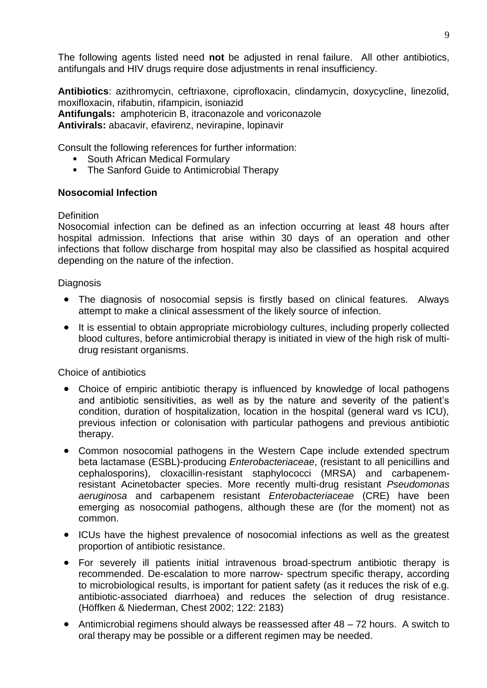The following agents listed need **not** be adjusted in renal failure. All other antibiotics, antifungals and HIV drugs require dose adjustments in renal insufficiency.

**Antibiotics**: azithromycin, ceftriaxone, ciprofloxacin, clindamycin, doxycycline, linezolid, moxifloxacin, rifabutin, rifampicin, isoniazid **Antifungals:** amphotericin B, itraconazole and voriconazole **Antivirals:** abacavir, efavirenz, nevirapine, lopinavir

Consult the following references for further information:

- **South African Medical Formulary**
- <span id="page-8-0"></span>• The Sanford Guide to Antimicrobial Therapy

#### **Nosocomial Infection**

#### **Definition**

Nosocomial infection can be defined as an infection occurring at least 48 hours after hospital admission. Infections that arise within 30 days of an operation and other infections that follow discharge from hospital may also be classified as hospital acquired depending on the nature of the infection.

#### **Diagnosis**

- The diagnosis of nosocomial sepsis is firstly based on clinical features. Always attempt to make a clinical assessment of the likely source of infection.
- It is essential to obtain appropriate microbiology cultures, including properly collected blood cultures, before antimicrobial therapy is initiated in view of the high risk of multidrug resistant organisms.

Choice of antibiotics

- Choice of empiric antibiotic therapy is influenced by knowledge of local pathogens and antibiotic sensitivities, as well as by the nature and severity of the patient's condition, duration of hospitalization, location in the hospital (general ward vs ICU), previous infection or colonisation with particular pathogens and previous antibiotic therapy.
- Common nosocomial pathogens in the Western Cape include extended spectrum beta lactamase (ESBL)-producing *Enterobacteriaceae*, (resistant to all penicillins and cephalosporins), cloxacillin-resistant staphylococci (MRSA) and carbapenemresistant Acinetobacter species. More recently multi-drug resistant *Pseudomonas aeruginosa* and carbapenem resistant *Enterobacteriaceae* (CRE) have been emerging as nosocomial pathogens, although these are (for the moment) not as common.
- ICUs have the highest prevalence of nosocomial infections as well as the greatest proportion of antibiotic resistance.
- For severely ill patients initial intravenous broad-spectrum antibiotic therapy is recommended. De-escalation to more narrow- spectrum specific therapy, according to microbiological results, is important for patient safety (as it reduces the risk of e.g. antibiotic-associated diarrhoea) and reduces the selection of drug resistance. (Höffken & Niederman, Chest 2002; 122: 2183)
- Antimicrobial regimens should always be reassessed after 48 72 hours. A switch to oral therapy may be possible or a different regimen may be needed.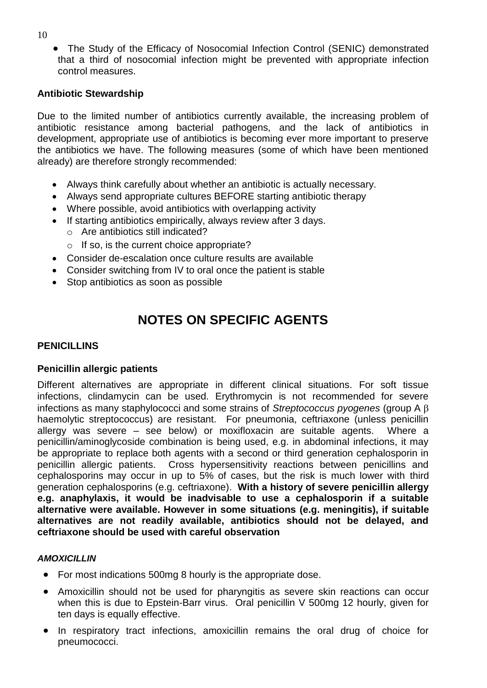The Study of the Efficacy of Nosocomial Infection Control (SENIC) demonstrated that a third of nosocomial infection might be prevented with appropriate infection control measures.

#### **Antibiotic Stewardship**

Due to the limited number of antibiotics currently available, the increasing problem of antibiotic resistance among bacterial pathogens, and the lack of antibiotics in development, appropriate use of antibiotics is becoming ever more important to preserve the antibiotics we have. The following measures (some of which have been mentioned already) are therefore strongly recommended:

- Always think carefully about whether an antibiotic is actually necessary.
- Always send appropriate cultures BEFORE starting antibiotic therapy
- Where possible, avoid antibiotics with overlapping activity
- If starting antibiotics empirically, always review after 3 days.
	- o Are antibiotics still indicated?
	- $\circ$  If so, is the current choice appropriate?
- Consider de-escalation once culture results are available
- Consider switching from IV to oral once the patient is stable
- Stop antibiotics as soon as possible

# <span id="page-9-1"></span><span id="page-9-0"></span>**NOTES ON SPECIFIC AGENTS**

#### **PENICILLINS**

#### **Penicillin allergic patients**

Different alternatives are appropriate in different clinical situations. For soft tissue infections, clindamycin can be used. Erythromycin is not recommended for severe infections as many staphylococci and some strains of *Streptococcus pyogenes* (group A haemolytic streptococcus) are resistant. For pneumonia, ceftriaxone (unless penicillin allergy was severe – see below) or moxifloxacin are suitable agents. Where a penicillin/aminoglycoside combination is being used, e.g. in abdominal infections, it may be appropriate to replace both agents with a second or third generation cephalosporin in penicillin allergic patients. Cross hypersensitivity reactions between penicillins and cephalosporins may occur in up to 5% of cases, but the risk is much lower with third generation cephalosporins (e.g. ceftriaxone). **With a history of severe penicillin allergy e.g. anaphylaxis, it would be inadvisable to use a cephalosporin if a suitable alternative were available. However in some situations (e.g. meningitis), if suitable alternatives are not readily available, antibiotics should not be delayed, and ceftriaxone should be used with careful observation**

#### *AMOXICILLIN*

- For most indications 500mg 8 hourly is the appropriate dose.
- Amoxicillin should not be used for pharyngitis as severe skin reactions can occur when this is due to Epstein-Barr virus. Oral penicillin V 500mg 12 hourly, given for ten days is equally effective.
- In respiratory tract infections, amoxicillin remains the oral drug of choice for pneumococci.

10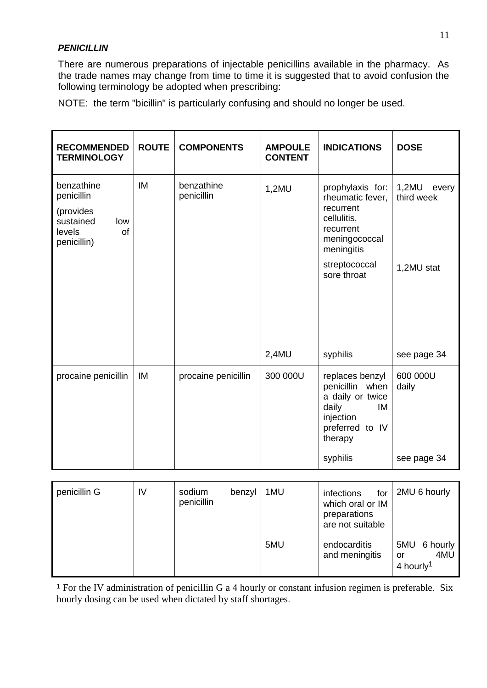#### *PENICILLIN*

There are numerous preparations of injectable penicillins available in the pharmacy. As the trade names may change from time to time it is suggested that to avoid confusion the following terminology be adopted when prescribing:

NOTE: the term "bicillin" is particularly confusing and should no longer be used.

| <b>RECOMMENDED</b><br><b>TERMINOLOGY</b>                                                 | <b>ROUTE</b> | <b>COMPONENTS</b>        | <b>AMPOULE</b><br><b>CONTENT</b> | <b>INDICATIONS</b>                                                                                                                           | <b>DOSE</b>                                |
|------------------------------------------------------------------------------------------|--------------|--------------------------|----------------------------------|----------------------------------------------------------------------------------------------------------------------------------------------|--------------------------------------------|
| benzathine<br>penicillin<br>(provides<br>sustained<br>low<br>levels<br>of<br>penicillin) | <b>IM</b>    | benzathine<br>penicillin | 1,2MU                            | prophylaxis for:<br>rheumatic fever,<br>recurrent<br>cellulitis,<br>recurrent<br>meningococcal<br>meningitis<br>streptococcal<br>sore throat | 1,2MU<br>every<br>third week<br>1,2MU stat |
|                                                                                          |              |                          | 2,4MU                            | syphilis                                                                                                                                     | see page 34                                |
| procaine penicillin                                                                      | IM           | procaine penicillin      | 300 000U                         | replaces benzyl<br>penicillin when<br>a daily or twice<br>daily<br>IM<br>injection<br>preferred to IV<br>therapy                             | 600 000U<br>daily                          |
|                                                                                          |              |                          |                                  | syphilis                                                                                                                                     | see page 34                                |

| penicillin G | IV | sodium<br>penicillin | benzyl | 1MU | infections<br>for<br>which oral or IM<br>preparations<br>are not suitable | 2MU 6 hourly                                          |
|--------------|----|----------------------|--------|-----|---------------------------------------------------------------------------|-------------------------------------------------------|
|              |    |                      |        | 5MU | endocarditis<br>and meningitis                                            | 5MU<br>6 hourly<br>4MU<br>or<br>4 hourly <sup>1</sup> |

<sup>1</sup> For the IV administration of penicillin G a 4 hourly or constant infusion regimen is preferable. Six hourly dosing can be used when dictated by staff shortages.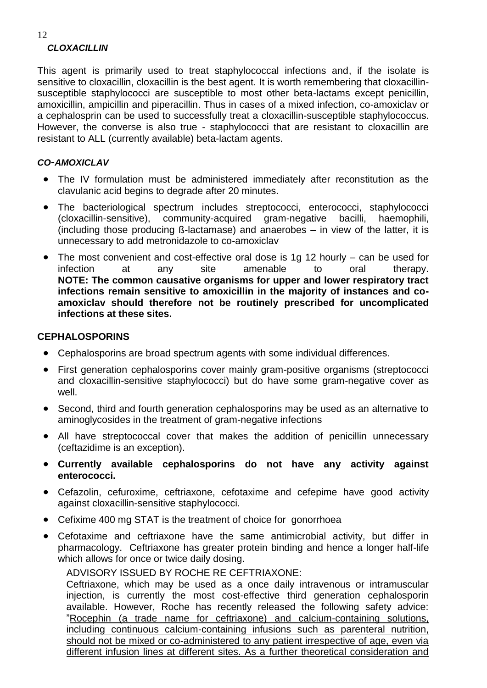## *CLOXACILLIN*

This agent is primarily used to treat staphylococcal infections and, if the isolate is sensitive to cloxacillin, cloxacillin is the best agent. It is worth remembering that cloxacillinsusceptible staphylococci are susceptible to most other beta-lactams except penicillin, amoxicillin, ampicillin and piperacillin. Thus in cases of a mixed infection, co-amoxiclav or a cephalosprin can be used to successfully treat a cloxacillin-susceptible staphylococcus. However, the converse is also true - staphylococci that are resistant to cloxacillin are resistant to ALL (currently available) beta-lactam agents.

#### *CO-AMOXICLAV*

- The IV formulation must be administered immediately after reconstitution as the clavulanic acid begins to degrade after 20 minutes.
- The bacteriological spectrum includes streptococci, enterococci, staphylococci (cloxacillin-sensitive), community-acquired gram-negative bacilli, haemophili, (including those producing ß-lactamase) and anaerobes – in view of the latter, it is unnecessary to add metronidazole to co-amoxiclav
- The most convenient and cost-effective oral dose is 1g 12 hourly  $-$  can be used for infection at any site amenable to oral therapy. infection at any site amenable to oral therapy. **NOTE: The common causative organisms for upper and lower respiratory tract infections remain sensitive to amoxicillin in the majority of instances and coamoxiclav should therefore not be routinely prescribed for uncomplicated infections at these sites.**

#### **CEPHALOSPORINS**

- <span id="page-11-0"></span>Cephalosporins are broad spectrum agents with some individual differences.
- First generation cephalosporins cover mainly gram-positive organisms (streptococci and cloxacillin-sensitive staphylococci) but do have some gram-negative cover as well.
- Second, third and fourth generation cephalosporins may be used as an alternative to aminoglycosides in the treatment of gram-negative infections
- All have streptococcal cover that makes the addition of penicillin unnecessary (ceftazidime is an exception).
- **Currently available cephalosporins do not have any activity against enterococci.**
- Cefazolin, cefuroxime, ceftriaxone, cefotaxime and cefepime have good activity against cloxacillin-sensitive staphylococci.
- Cefixime 400 mg STAT is the treatment of choice for gonorrhoea
- Cefotaxime and ceftriaxone have the same antimicrobial activity, but differ in pharmacology. Ceftriaxone has greater protein binding and hence a longer half-life which allows for once or twice daily dosing.

ADVISORY ISSUED BY ROCHE RE CEFTRIAXONE:

Ceftriaxone, which may be used as a once daily intravenous or intramuscular injection, is currently the most cost-effective third generation cephalosporin available. However, Roche has recently released the following safety advice: "Rocephin (a trade name for ceftriaxone) and calcium-containing solutions, including continuous calcium-containing infusions such as parenteral nutrition, should not be mixed or co-administered to any patient irrespective of age, even via different infusion lines at different sites. As a further theoretical consideration and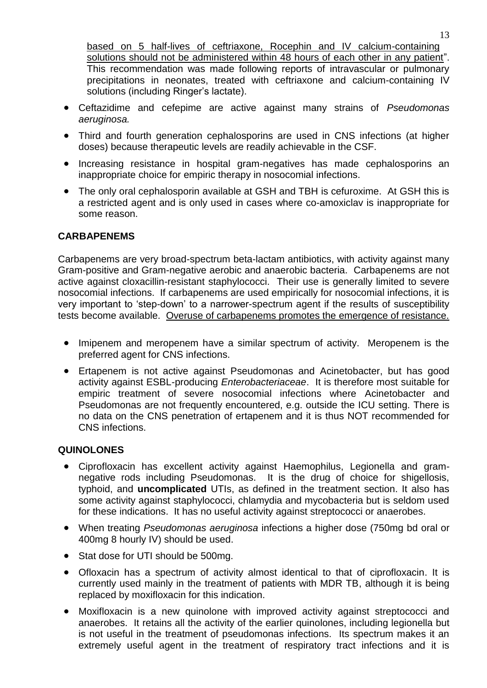based on 5 half-lives of ceftriaxone, Rocephin and IV calcium-containing solutions should not be administered within 48 hours of each other in any patient". This recommendation was made following reports of intravascular or pulmonary precipitations in neonates, treated with ceftriaxone and calcium-containing IV solutions (including Ringer's lactate).

- Ceftazidime and cefepime are active against many strains of *Pseudomonas aeruginosa.*
- Third and fourth generation cephalosporins are used in CNS infections (at higher doses) because therapeutic levels are readily achievable in the CSF.
- Increasing resistance in hospital gram-negatives has made cephalosporins an inappropriate choice for empiric therapy in nosocomial infections.
- The only oral cephalosporin available at GSH and TBH is cefuroxime. At GSH this is a restricted agent and is only used in cases where co-amoxiclav is inappropriate for some reason.

#### <span id="page-12-0"></span>**CARBAPENEMS**

Carbapenems are very broad-spectrum beta-lactam antibiotics, with activity against many Gram-positive and Gram-negative aerobic and anaerobic bacteria. Carbapenems are not active against cloxacillin-resistant staphylococci. Their use is generally limited to severe nosocomial infections. If carbapenems are used empirically for nosocomial infections, it is very important to 'step-down' to a narrower-spectrum agent if the results of susceptibility tests become available. Overuse of carbapenems promotes the emergence of resistance.

- Imipenem and meropenem have a similar spectrum of activity. Meropenem is the preferred agent for CNS infections.
- Ertapenem is not active against Pseudomonas and Acinetobacter, but has good activity against ESBL-producing *Enterobacteriaceae*. It is therefore most suitable for empiric treatment of severe nosocomial infections where Acinetobacter and Pseudomonas are not frequently encountered, e.g. outside the ICU setting. There is no data on the CNS penetration of ertapenem and it is thus NOT recommended for CNS infections.

#### **QUINOLONES**

- <span id="page-12-1"></span> Ciprofloxacin has excellent activity against Haemophilus, Legionella and gramnegative rods including Pseudomonas. It is the drug of choice for shigellosis, typhoid, and **uncomplicated** UTIs, as defined in the treatment section. It also has some activity against staphylococci, chlamydia and mycobacteria but is seldom used for these indications. It has no useful activity against streptococci or anaerobes.
- When treating *Pseudomonas aeruginosa* infections a higher dose (750mg bd oral or 400mg 8 hourly IV) should be used.
- Stat dose for UTI should be 500mg.
- Ofloxacin has a spectrum of activity almost identical to that of ciprofloxacin. It is currently used mainly in the treatment of patients with MDR TB, although it is being replaced by moxifloxacin for this indication.
- Moxifloxacin is a new quinolone with improved activity against streptococci and anaerobes. It retains all the activity of the earlier quinolones, including legionella but is not useful in the treatment of pseudomonas infections. Its spectrum makes it an extremely useful agent in the treatment of respiratory tract infections and it is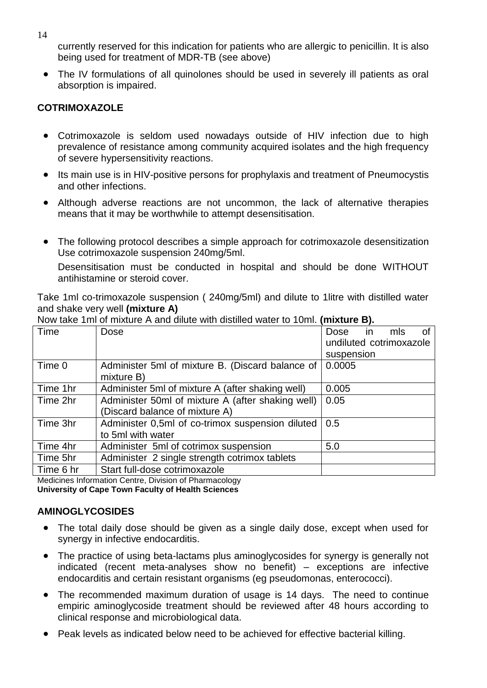currently reserved for this indication for patients who are allergic to penicillin. It is also being used for treatment of MDR-TB (see above)

 The IV formulations of all quinolones should be used in severely ill patients as oral absorption is impaired.

# <span id="page-13-2"></span>**COTRIMOXAZOLE**

- <span id="page-13-0"></span> Cotrimoxazole is seldom used nowadays outside of HIV infection due to high prevalence of resistance among community acquired isolates and the high frequency of severe hypersensitivity reactions.
- Its main use is in HIV-positive persons for prophylaxis and treatment of Pneumocystis and other infections.
- Although adverse reactions are not uncommon, the lack of alternative therapies means that it may be worthwhile to attempt desensitisation.
- The following protocol describes a simple approach for cotrimoxazole desensitization Use cotrimoxazole suspension 240mg/5ml.

Desensitisation must be conducted in hospital and should be done WITHOUT antihistamine or steroid cover.

Take 1ml co-trimoxazole suspension ( 240mg/5ml) and dilute to 1litre with distilled water and shake very well **(mixture A)**

| Time      | Dose                                              | Dose                    | in | mls | Ωf |
|-----------|---------------------------------------------------|-------------------------|----|-----|----|
|           |                                                   | undiluted cotrimoxazole |    |     |    |
|           |                                                   | suspension              |    |     |    |
| Time 0    | Administer 5ml of mixture B. (Discard balance of  | 0.0005                  |    |     |    |
|           | mixture B)                                        |                         |    |     |    |
| Time 1hr  | Administer 5ml of mixture A (after shaking well)  | 0.005                   |    |     |    |
| Time 2hr  | Administer 50ml of mixture A (after shaking well) | 0.05                    |    |     |    |
|           | (Discard balance of mixture A)                    |                         |    |     |    |
| Time 3hr  | Administer 0,5ml of co-trimox suspension diluted  | 0.5                     |    |     |    |
|           | to 5ml with water                                 |                         |    |     |    |
| Time 4hr  | Administer 5ml of cotrimox suspension             | 5.0                     |    |     |    |
| Time 5hr  | Administer 2 single strength cotrimox tablets     |                         |    |     |    |
| Time 6 hr | Start full-dose cotrimoxazole                     |                         |    |     |    |

Now take 1ml of mixture A and dilute with distilled water to 10ml. **(mixture B).**

Medicines Information Centre, Division of Pharmacology **University of Cape Town Faculty of Health Sciences**

#### **AMINOGLYCOSIDES**

- <span id="page-13-1"></span> The total daily dose should be given as a single daily dose, except when used for synergy in infective endocarditis.
- The practice of using beta-lactams plus aminoglycosides for synergy is generally not indicated (recent meta-analyses show no benefit) – exceptions are infective endocarditis and certain resistant organisms (eg pseudomonas, enterococci).
- The recommended maximum duration of usage is 14 days. The need to continue empiric aminoglycoside treatment should be reviewed after 48 hours according to clinical response and microbiological data.
- Peak levels as indicated below need to be achieved for effective bacterial killing.

14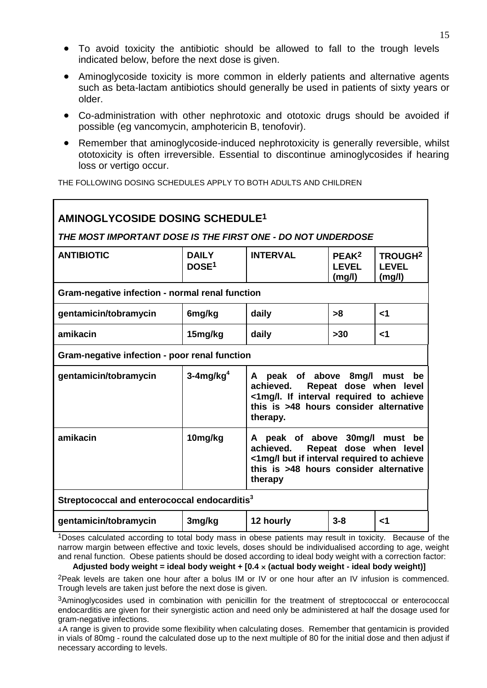- To avoid toxicity the antibiotic should be allowed to fall to the trough levels indicated below, before the next dose is given.
- Aminoglycoside toxicity is more common in elderly patients and alternative agents such as beta-lactam antibiotics should generally be used in patients of sixty years or older.
- Co-administration with other nephrotoxic and ototoxic drugs should be avoided if possible (eg vancomycin, amphotericin B, tenofovir).
- Remember that aminoglycoside-induced nephrotoxicity is generally reversible, whilst ototoxicity is often irreversible. Essential to discontinue aminoglycosides if hearing loss or vertigo occur.

THE FOLLOWING DOSING SCHEDULES APPLY TO BOTH ADULTS AND CHILDREN

| <b>AMINOGLYCOSIDE DOSING SCHEDULE<sup>1</sup></b>                                                                                                                                               |                                                                                                                                                                                                      |                                                                                                            |    |                 |  |  |
|-------------------------------------------------------------------------------------------------------------------------------------------------------------------------------------------------|------------------------------------------------------------------------------------------------------------------------------------------------------------------------------------------------------|------------------------------------------------------------------------------------------------------------|----|-----------------|--|--|
| THE MOST IMPORTANT DOSE IS THE FIRST ONE - DO NOT UNDERDOSE                                                                                                                                     |                                                                                                                                                                                                      |                                                                                                            |    |                 |  |  |
| <b>ANTIBIOTIC</b>                                                                                                                                                                               | <b>DAILY</b><br>DOSE <sup>1</sup>                                                                                                                                                                    | <b>INTERVAL</b><br>PEAK <sup>2</sup><br><b>TROUGH2</b><br><b>LEVEL</b><br><b>LEVEL</b><br>(mg/l)<br>(mg/l) |    |                 |  |  |
| Gram-negative infection - normal renal function                                                                                                                                                 |                                                                                                                                                                                                      |                                                                                                            |    |                 |  |  |
| gentamicin/tobramycin                                                                                                                                                                           | 6mg/kg                                                                                                                                                                                               | daily                                                                                                      | >8 | $\leq$ 1        |  |  |
| amikacin                                                                                                                                                                                        | 15mg/kg                                                                                                                                                                                              | daily<br>$>30$<br>$\leq$ 1                                                                                 |    |                 |  |  |
| Gram-negative infection - poor renal function                                                                                                                                                   |                                                                                                                                                                                                      |                                                                                                            |    |                 |  |  |
| gentamicin/tobramycin                                                                                                                                                                           | $3-4$ mg/kg <sup>4</sup><br>A peak of above 8mg/l must<br>be<br>Repeat dose when level<br>achieved.<br><1mg/l. If interval required to achieve<br>this is >48 hours consider alternative<br>therapy. |                                                                                                            |    |                 |  |  |
| amikacin<br>10mg/kg<br>A peak of above 30mg/l must be<br>Repeat dose when level<br>achieved.<br><1mg/l but if interval required to achieve<br>this is >48 hours consider alternative<br>therapy |                                                                                                                                                                                                      |                                                                                                            |    |                 |  |  |
| Streptococcal and enterococcal endocarditis <sup>3</sup>                                                                                                                                        |                                                                                                                                                                                                      |                                                                                                            |    |                 |  |  |
| gentamicin/tobramycin                                                                                                                                                                           | 3mg/kg<br>12 hourly<br>$3 - 8$<br>$\leq$ 1                                                                                                                                                           |                                                                                                            |    |                 |  |  |
| $1$ Decay colourated according to total hody mose in chose potients may result in to vigity                                                                                                     |                                                                                                                                                                                                      |                                                                                                            |    | <b>Donation</b> |  |  |

1Doses calculated according to total body mass in obese patients may result in toxicity. Because of the narrow margin between effective and toxic levels, doses should be individualised according to age, weight and renal function. Obese patients should be dosed according to ideal body weight with a correction factor:

**Adjusted body weight = ideal body weight + [0.4 (actual body weight - ideal body weight)]**

2Peak levels are taken one hour after a bolus IM or IV or one hour after an IV infusion is commenced. Trough levels are taken just before the next dose is given.

3Aminoglycosides used in combination with penicillin for the treatment of streptococcal or enterococcal endocarditis are given for their synergistic action and need only be administered at half the dosage used for gram-negative infections.

4A range is given to provide some flexibility when calculating doses. Remember that gentamicin is provided in vials of 80mg - round the calculated dose up to the next multiple of 80 for the initial dose and then adjust if necessary according to levels.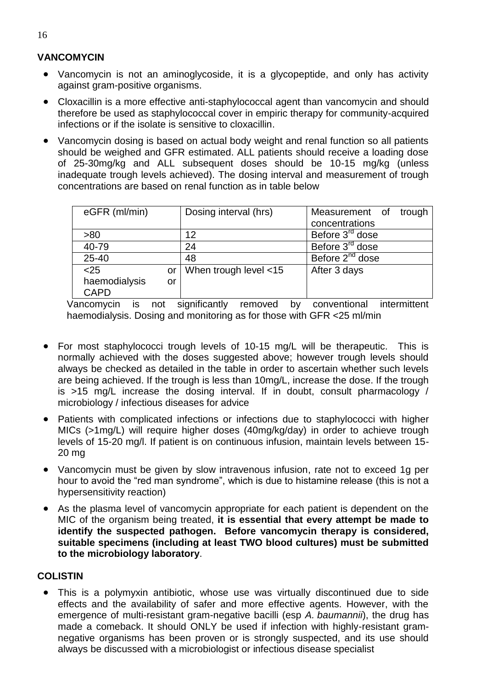# **VANCOMYCIN**

- <span id="page-15-0"></span> Vancomycin is not an aminoglycoside, it is a glycopeptide, and only has activity against gram-positive organisms.
- Cloxacillin is a more effective anti-staphylococcal agent than vancomycin and should therefore be used as staphylococcal cover in empiric therapy for community-acquired infections or if the isolate is sensitive to cloxacillin.
- Vancomycin dosing is based on actual body weight and renal function so all patients should be weighed and GFR estimated. ALL patients should receive a loading dose of 25-30mg/kg and ALL subsequent doses should be 10-15 mg/kg (unless inadequate trough levels achieved). The dosing interval and measurement of trough concentrations are based on renal function as in table below

| eGFR (ml/min) |    | Dosing interval (hrs) | Measurement of trough       |
|---------------|----|-----------------------|-----------------------------|
|               |    |                       | concentrations              |
| >80           |    | 12                    | Before 3 <sup>rd</sup> dose |
| 40-79         |    | 24                    | Before 3 <sup>rd</sup> dose |
| $25 - 40$     |    | 48                    | Before 2 <sup>nd</sup> dose |
| $25$          | or | When trough level <15 | After 3 days                |
| haemodialysis | or |                       |                             |
| CAPD          |    |                       |                             |

Vancomycin is not significantly removed by conventional intermittent haemodialysis. Dosing and monitoring as for those with GFR <25 ml/min

- For most staphylococci trough levels of 10-15 mg/L will be therapeutic. This is normally achieved with the doses suggested above; however trough levels should always be checked as detailed in the table in order to ascertain whether such levels are being achieved. If the trough is less than 10mg/L, increase the dose. If the trough is >15 mg/L increase the dosing interval. If in doubt, consult pharmacology / microbiology / infectious diseases for advice
- Patients with complicated infections or infections due to staphylococci with higher MICs (>1mg/L) will require higher doses (40mg/kg/day) in order to achieve trough levels of 15-20 mg/l. If patient is on continuous infusion, maintain levels between 15- 20 mg
- Vancomycin must be given by slow intravenous infusion, rate not to exceed 1g per hour to avoid the "red man syndrome", which is due to histamine release (this is not a hypersensitivity reaction)
- As the plasma level of vancomycin appropriate for each patient is dependent on the MIC of the organism being treated, **it is essential that every attempt be made to identify the suspected pathogen. Before vancomycin therapy is considered, suitable specimens (including at least TWO blood cultures) must be submitted to the microbiology laboratory**.

#### **COLISTIN**

<span id="page-15-1"></span> This is a polymyxin antibiotic, whose use was virtually discontinued due to side effects and the availability of safer and more effective agents. However, with the emergence of multi-resistant gram-negative bacilli (esp *A. baumannii*), the drug has made a comeback. It should ONLY be used if infection with highly-resistant gramnegative organisms has been proven or is strongly suspected, and its use should always be discussed with a microbiologist or infectious disease specialist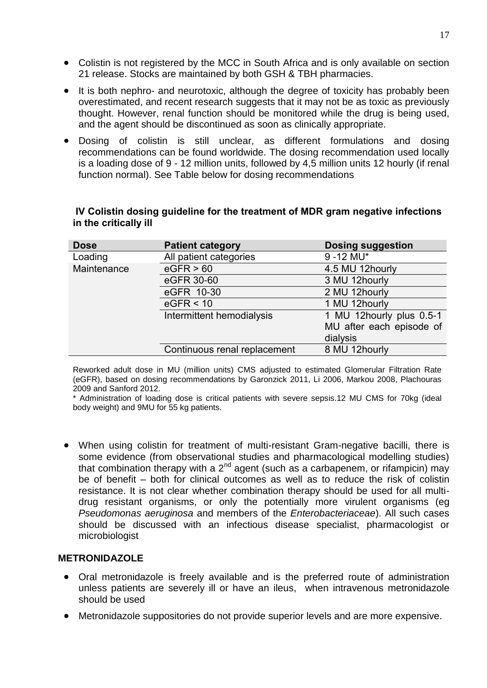- Colistin is not registered by the MCC in South Africa and is only available on section 21 release. Stocks are maintained by both GSH & TBH pharmacies.
- It is both nephro- and neurotoxic, although the degree of toxicity has probably been overestimated, and recent research suggests that it may not be as toxic as previously thought. However, renal function should be monitored while the drug is being used, and the agent should be discontinued as soon as clinically appropriate.
- Dosing of colistin is still unclear, as different formulations and dosing recommendations can be found worldwide. The dosing recommendation used locally is a loading dose of 9 - 12 million units, followed by 4,5 million units 12 hourly (if renal function normal). See Table below for dosing recommendations

#### **IV Colistin dosing guideline for the treatment of MDR gram negative infections in the critically ill**

| <b>Dose</b> | <b>Patient category</b>      | <b>Dosing suggestion</b> |
|-------------|------------------------------|--------------------------|
| Loading     | All patient categories       | 9-12 MU*                 |
| Maintenance | eGFR > 60                    | 4.5 MU 12hourly          |
|             | eGFR 30-60                   | 3 MU 12hourly            |
|             | eGFR 10-30                   | 2 MU 12hourly            |
|             | eGFR < 10                    | 1 MU 12hourly            |
|             | Intermittent hemodialysis    | 1 MU 12hourly plus 0.5-1 |
|             |                              | MU after each episode of |
|             |                              | dialysis                 |
|             | Continuous renal replacement | 8 MU 12hourly            |

Reworked adult dose in MU (million units) CMS adjusted to estimated Glomerular Filtration Rate (eGFR), based on dosing recommendations by Garonzick 2011, Li 2006, Markou 2008, Plachouras 2009 and Sanford 2012.

\* Administration of loading dose is critical patients with severe sepsis.12 MU CMS for 70kg (ideal body weight) and 9MU for 55 kg patients.

 When using colistin for treatment of multi-resistant Gram-negative bacilli, there is some evidence (from observational studies and pharmacological modelling studies) that combination therapy with a  $2^{nd}$  agent (such as a carbapenem, or rifampicin) may be of benefit – both for clinical outcomes as well as to reduce the risk of colistin resistance. It is not clear whether combination therapy should be used for all multidrug resistant organisms, or only the potentially more virulent organisms (eg *Pseudomonas aeruginosa* and members of the *Enterobacteriaceae*). All such cases should be discussed with an infectious disease specialist, pharmacologist or microbiologist

#### **METRONIDAZOLE**

- <span id="page-16-0"></span> Oral metronidazole is freely available and is the preferred route of administration unless patients are severely ill or have an ileus, when intravenous metronidazole should be used
- Metronidazole suppositories do not provide superior levels and are more expensive.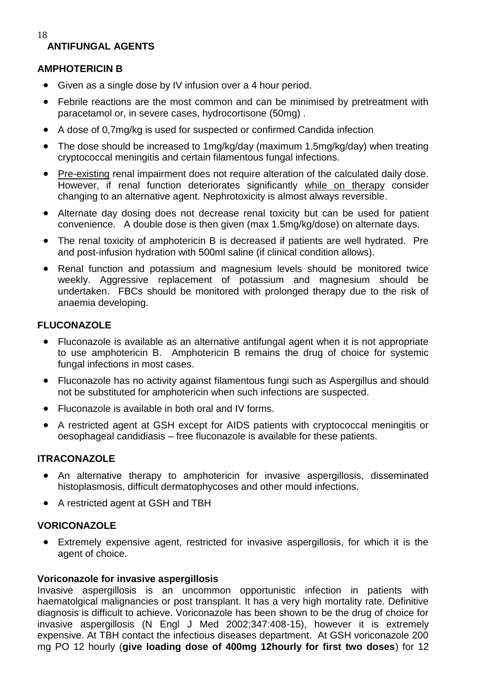# <span id="page-17-0"></span>**ANTIFUNGAL AGENTS**

#### **AMPHOTERICIN B**

- Given as a single dose by IV infusion over a 4 hour period.
- Febrile reactions are the most common and can be minimised by pretreatment with paracetamol or, in severe cases, hydrocortisone (50mg) .
- A dose of 0,7mg/kg is used for suspected or confirmed Candida infection
- The dose should be increased to 1mg/kg/day (maximum 1.5mg/kg/day) when treating cryptococcal meningitis and certain filamentous fungal infections.
- Pre-existing renal impairment does not require alteration of the calculated daily dose. However, if renal function deteriorates significantly while on therapy consider changing to an alternative agent. Nephrotoxicity is almost always reversible.
- Alternate day dosing does not decrease renal toxicity but can be used for patient convenience. A double dose is then given (max 1.5mg/kg/dose) on alternate days.
- The renal toxicity of amphotericin B is decreased if patients are well hydrated. Pre and post-infusion hydration with 500ml saline (if clinical condition allows).
- Renal function and potassium and magnesium levels should be monitored twice weekly. Aggressive replacement of potassium and magnesium should be undertaken. FBCs should be monitored with prolonged therapy due to the risk of anaemia developing.

#### **FLUCONAZOLE**

- Fluconazole is available as an alternative antifungal agent when it is not appropriate to use amphotericin B. Amphotericin B remains the drug of choice for systemic fungal infections in most cases.
- Fluconazole has no activity against filamentous fungi such as Aspergillus and should not be substituted for amphotericin when such infections are suspected.
- Fluconazole is available in both oral and IV forms.
- A restricted agent at GSH except for AIDS patients with cryptococcal meningitis or oesophageal candidiasis – free fluconazole is available for these patients.

#### **ITRACONAZOLE**

- An alternative therapy to amphotericin for invasive aspergillosis, disseminated histoplasmosis, difficult dermatophycoses and other mould infections.
- A restricted agent at GSH and TBH

#### **VORICONAZOLE**

 Extremely expensive agent, restricted for invasive aspergillosis, for which it is the agent of choice.

#### **Voriconazole for invasive aspergillosis**

Invasive aspergillosis is an uncommon opportunistic infection in patients with haematolgical malignancies or post transplant. It has a very high mortality rate. Definitive diagnosis is difficult to achieve. Voriconazole has been shown to be the drug of choice for invasive aspergillosis (N Engl J Med 2002;347:408-15), however it is extremely expensive. At TBH contact the infectious diseases department. At GSH voriconazole 200 mg PO 12 hourly (**give loading dose of 400mg 12hourly for first two doses**) for 12

18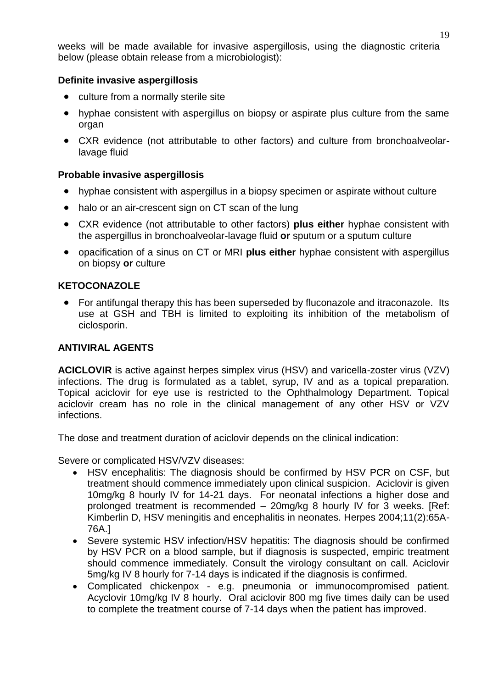weeks will be made available for invasive aspergillosis, using the diagnostic criteria below (please obtain release from a microbiologist):

#### **Definite invasive aspergillosis**

- culture from a normally sterile site
- hyphae consistent with aspergillus on biopsy or aspirate plus culture from the same organ
- CXR evidence (not attributable to other factors) and culture from bronchoalveolarlavage fluid

#### **Probable invasive aspergillosis**

- hyphae consistent with aspergillus in a biopsy specimen or aspirate without culture
- halo or an air-crescent sign on CT scan of the lung
- CXR evidence (not attributable to other factors) **plus either** hyphae consistent with the aspergillus in bronchoalveolar-lavage fluid **or** sputum or a sputum culture
- opacification of a sinus on CT or MRI **plus either** hyphae consistent with aspergillus on biopsy **or** culture

#### **KETOCONAZOLE**

 For antifungal therapy this has been superseded by fluconazole and itraconazole. Its use at GSH and TBH is limited to exploiting its inhibition of the metabolism of ciclosporin.

#### <span id="page-18-0"></span>**ANTIVIRAL AGENTS**

**ACICLOVIR** is active against herpes simplex virus (HSV) and varicella-zoster virus (VZV) infections. The drug is formulated as a tablet, syrup, IV and as a topical preparation. Topical aciclovir for eye use is restricted to the Ophthalmology Department. Topical aciclovir cream has no role in the clinical management of any other HSV or VZV infections.

The dose and treatment duration of aciclovir depends on the clinical indication:

Severe or complicated HSV/VZV diseases:

- HSV encephalitis: The diagnosis should be confirmed by HSV PCR on CSF, but treatment should commence immediately upon clinical suspicion. Aciclovir is given 10mg/kg 8 hourly IV for 14-21 days. For neonatal infections a higher dose and prolonged treatment is recommended – 20mg/kg 8 hourly IV for 3 weeks. [Ref: Kimberlin D, HSV meningitis and encephalitis in neonates. Herpes 2004;11(2):65A-76A.]
- Severe systemic HSV infection/HSV hepatitis: The diagnosis should be confirmed by HSV PCR on a blood sample, but if diagnosis is suspected, empiric treatment should commence immediately. Consult the virology consultant on call. Aciclovir 5mg/kg IV 8 hourly for 7-14 days is indicated if the diagnosis is confirmed.
- Complicated chickenpox e.g. pneumonia or immunocompromised patient. Acyclovir 10mg/kg IV 8 hourly. Oral aciclovir 800 mg five times daily can be used to complete the treatment course of 7-14 days when the patient has improved.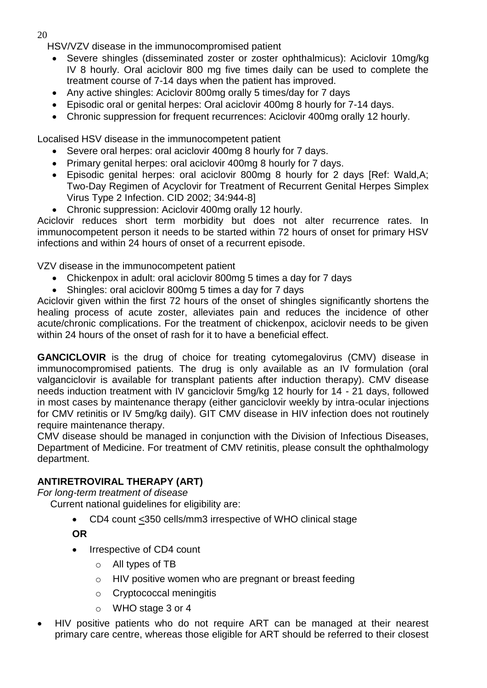20

HSV/VZV disease in the immunocompromised patient

- Severe shingles (disseminated zoster or zoster ophthalmicus): Aciclovir 10mg/kg IV 8 hourly. Oral aciclovir 800 mg five times daily can be used to complete the treatment course of 7-14 days when the patient has improved.
- Any active shingles: Aciclovir 800mg orally 5 times/day for 7 days
- Episodic oral or genital herpes: Oral aciclovir 400mg 8 hourly for 7-14 days.
- Chronic suppression for frequent recurrences: Aciclovir 400mg orally 12 hourly.

Localised HSV disease in the immunocompetent patient

- Severe oral herpes: oral aciclovir 400mg 8 hourly for 7 days.
- Primary genital herpes: oral aciclovir 400mg 8 hourly for 7 days.
- Episodic genital herpes: oral aciclovir 800mg 8 hourly for 2 days [Ref: Wald,A; Two-Day Regimen of Acyclovir for Treatment of Recurrent Genital Herpes Simplex Virus Type 2 Infection. CID 2002; 34:944-8]
- Chronic suppression: Aciclovir 400mg orally 12 hourly.

Aciclovir reduces short term morbidity but does not alter recurrence rates. In immunocompetent person it needs to be started within 72 hours of onset for primary HSV infections and within 24 hours of onset of a recurrent episode.

VZV disease in the immunocompetent patient

- Chickenpox in adult: oral aciclovir 800mg 5 times a day for 7 days
- Shingles: oral aciclovir 800mg 5 times a day for 7 days

Aciclovir given within the first 72 hours of the onset of shingles significantly shortens the healing process of acute zoster, alleviates pain and reduces the incidence of other acute/chronic complications. For the treatment of chickenpox, aciclovir needs to be given within 24 hours of the onset of rash for it to have a beneficial effect.

**GANCICLOVIR** is the drug of choice for treating cytomegalovirus (CMV) disease in immunocompromised patients. The drug is only available as an IV formulation (oral valganciclovir is available for transplant patients after induction therapy). CMV disease needs induction treatment with IV ganciclovir 5mg/kg 12 hourly for 14 - 21 days, followed in most cases by maintenance therapy (either ganciclovir weekly by intra-ocular injections for CMV retinitis or IV 5mg/kg daily). GIT CMV disease in HIV infection does not routinely require maintenance therapy.

CMV disease should be managed in conjunction with the Division of Infectious Diseases, Department of Medicine. For treatment of CMV retinitis, please consult the ophthalmology department.

# **ANTIRETROVIRAL THERAPY (ART)**

*For long-term treatment of disease*

Current national guidelines for eligibility are:

CD4 count <350 cells/mm3 irrespective of WHO clinical stage

**OR**

- Irrespective of CD4 count
	- o All types of TB
	- o HIV positive women who are pregnant or breast feeding
	- o Cryptococcal meningitis
	- o WHO stage 3 or 4
- HIV positive patients who do not require ART can be managed at their nearest primary care centre, whereas those eligible for ART should be referred to their closest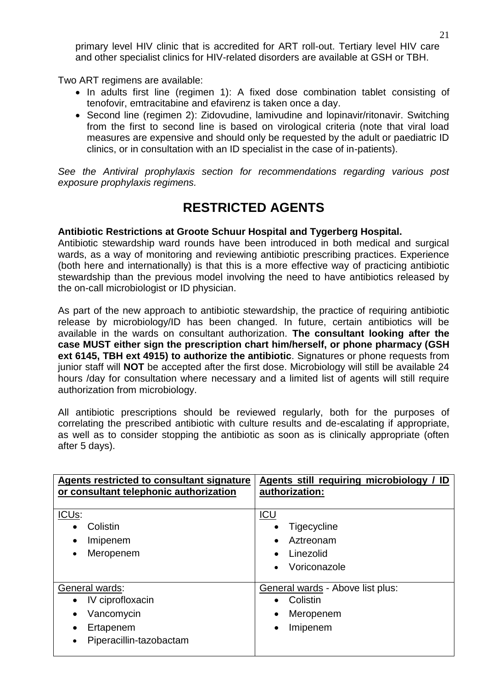primary level HIV clinic that is accredited for ART roll-out. Tertiary level HIV care and other specialist clinics for HIV-related disorders are available at GSH or TBH.

Two ART regimens are available:

- In adults first line (regimen 1): A fixed dose combination tablet consisting of tenofovir, emtracitabine and efavirenz is taken once a day.
- Second line (regimen 2): Zidovudine, lamivudine and lopinavir/ritonavir. Switching from the first to second line is based on virological criteria (note that viral load measures are expensive and should only be requested by the adult or paediatric ID clinics, or in consultation with an ID specialist in the case of in-patients).

*See the Antiviral prophylaxis section for recommendations regarding various post exposure prophylaxis regimens.*

# <span id="page-20-0"></span>**RESTRICTED AGENTS**

#### **Antibiotic Restrictions at Groote Schuur Hospital and Tygerberg Hospital.**

Antibiotic stewardship ward rounds have been introduced in both medical and surgical wards, as a way of monitoring and reviewing antibiotic prescribing practices. Experience (both here and internationally) is that this is a more effective way of practicing antibiotic stewardship than the previous model involving the need to have antibiotics released by the on-call microbiologist or ID physician.

As part of the new approach to antibiotic stewardship, the practice of requiring antibiotic release by microbiology/ID has been changed. In future, certain antibiotics will be available in the wards on consultant authorization. **The consultant looking after the case MUST either sign the prescription chart him/herself, or phone pharmacy (GSH ext 6145, TBH ext 4915) to authorize the antibiotic**. Signatures or phone requests from junior staff will **NOT** be accepted after the first dose. Microbiology will still be available 24 hours /day for consultation where necessary and a limited list of agents will still require authorization from microbiology.

All antibiotic prescriptions should be reviewed regularly, both for the purposes of correlating the prescribed antibiotic with culture results and de-escalating if appropriate, as well as to consider stopping the antibiotic as soon as is clinically appropriate (often after 5 days).

| Agents restricted to consultant signature<br>or consultant telephonic authorization                                             | Agents still requiring microbiology / ID<br>authorization:                                          |
|---------------------------------------------------------------------------------------------------------------------------------|-----------------------------------------------------------------------------------------------------|
| ICU <sub>s</sub> :<br>Colistin<br>$\bullet$<br>Imipenem<br>$\bullet$<br>Meropenem<br>$\bullet$                                  | ICU<br>Tigecycline<br>Aztreonam<br>$\bullet$<br>Linezolid<br>$\bullet$<br>Voriconazole<br>$\bullet$ |
| General wards:<br>IV ciprofloxacin<br>$\bullet$<br>Vancomycin<br>$\bullet$<br>Ertapenem<br>Piperacillin-tazobactam<br>$\bullet$ | General wards - Above list plus:<br>Colistin<br>Meropenem<br>$\bullet$<br>Imipenem<br>$\bullet$     |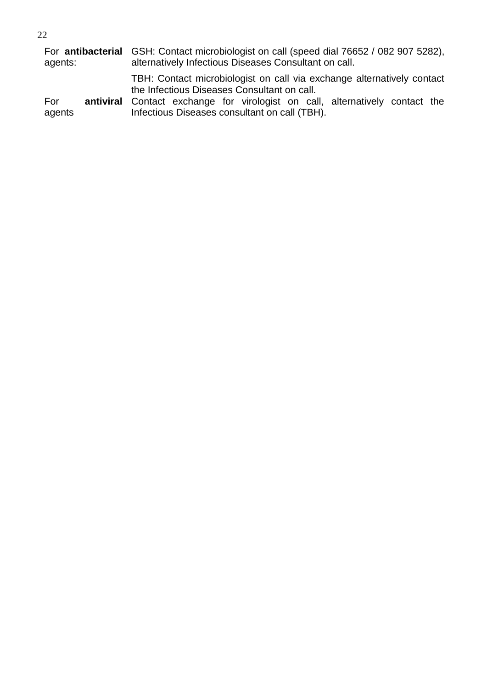| agents: | For <b>antibacterial</b> GSH: Contact microbiologist on call (speed dial 76652 / 082 907 5282),<br>alternatively Infectious Diseases Consultant on call.                                                     |  |
|---------|--------------------------------------------------------------------------------------------------------------------------------------------------------------------------------------------------------------|--|
| For     | TBH: Contact microbiologist on call via exchange alternatively contact<br>the Infectious Diseases Consultant on call.<br><b>antiviral</b> Contact exchange for virologist on call, alternatively contact the |  |
| agents  | Infectious Diseases consultant on call (TBH).                                                                                                                                                                |  |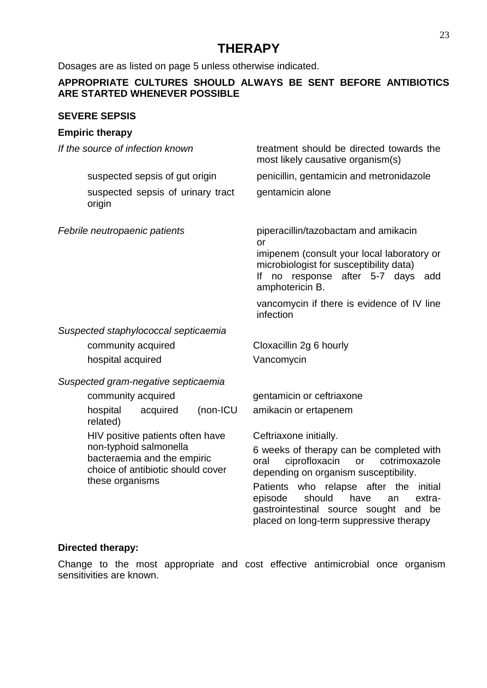# <span id="page-22-0"></span>**THERAPY**

Dosages are as listed on page [5](#page-4-0) unless otherwise indicated.

#### **APPROPRIATE CULTURES SHOULD ALWAYS BE SENT BEFORE ANTIBIOTICS ARE STARTED WHENEVER POSSIBLE**

#### **SEVERE SEPSIS**

<span id="page-22-1"></span>

| <b>Empiric therapy</b>                                                                                                                            |                                                                                                                                                                                                                                                                                                                                                        |
|---------------------------------------------------------------------------------------------------------------------------------------------------|--------------------------------------------------------------------------------------------------------------------------------------------------------------------------------------------------------------------------------------------------------------------------------------------------------------------------------------------------------|
| If the source of infection known                                                                                                                  | treatment should be directed towards the<br>most likely causative organism(s)                                                                                                                                                                                                                                                                          |
| suspected sepsis of gut origin                                                                                                                    | penicillin, gentamicin and metronidazole                                                                                                                                                                                                                                                                                                               |
| suspected sepsis of urinary tract<br>origin                                                                                                       | gentamicin alone                                                                                                                                                                                                                                                                                                                                       |
| Febrile neutropaenic patients                                                                                                                     | piperacillin/tazobactam and amikacin<br>or<br>imipenem (consult your local laboratory or<br>microbiologist for susceptibility data)<br>no response after 5-7 days<br>lf<br>add<br>amphotericin B.                                                                                                                                                      |
|                                                                                                                                                   | vancomycin if there is evidence of IV line<br>infection                                                                                                                                                                                                                                                                                                |
| Suspected staphylococcal septicaemia                                                                                                              |                                                                                                                                                                                                                                                                                                                                                        |
| community acquired                                                                                                                                | Cloxacillin 2g 6 hourly                                                                                                                                                                                                                                                                                                                                |
| hospital acquired                                                                                                                                 | Vancomycin                                                                                                                                                                                                                                                                                                                                             |
| Suspected gram-negative septicaemia                                                                                                               |                                                                                                                                                                                                                                                                                                                                                        |
| community acquired                                                                                                                                | gentamicin or ceftriaxone                                                                                                                                                                                                                                                                                                                              |
| hospital<br>acquired<br>(non-ICU<br>related)                                                                                                      | amikacin or ertapenem                                                                                                                                                                                                                                                                                                                                  |
| HIV positive patients often have<br>non-typhoid salmonella<br>bacteraemia and the empiric<br>choice of antibiotic should cover<br>these organisms | Ceftriaxone initially.<br>6 weeks of therapy can be completed with<br>ciprofloxacin<br>cotrimoxazole<br>oral<br>or<br>depending on organism susceptibility.<br>relapse after the<br><b>Patients</b><br>who<br>initial<br>episode<br>should<br>have<br>extra-<br>an<br>gastrointestinal source sought and be<br>placed on long-term suppressive therapy |

#### **Directed therapy:**

Change to the most appropriate and cost effective antimicrobial once organism sensitivities are known.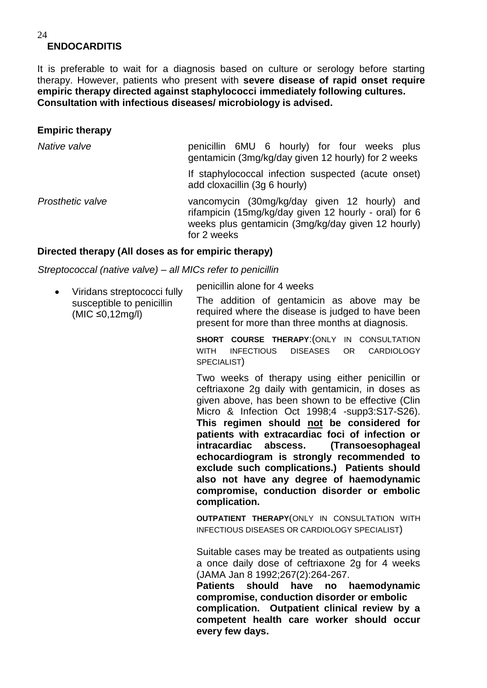# <span id="page-23-0"></span>**ENDOCARDITIS**

It is preferable to wait for a diagnosis based on culture or serology before starting therapy. However, patients who present with **severe disease of rapid onset require empiric therapy directed against staphylococci immediately following cultures. Consultation with infectious diseases/ microbiology is advised.**

#### **Empiric therapy**

*Native valve* **penicillin** 6MU 6 hourly) for four weeks plus gentamicin (3mg/kg/day given 12 hourly) for 2 weeks If staphylococcal infection suspected (acute onset) add cloxacillin (3g 6 hourly)

*Prosthetic valve* vancomycin (30mg/kg/day given 12 hourly) and rifampicin (15mg/kg/day given 12 hourly - oral) for 6 weeks plus gentamicin (3mg/kg/day given 12 hourly) for 2 weeks

#### **Directed therapy (All doses as for empiric therapy)**

*Streptococcal (native valve) – all MICs refer to penicillin*

| • Viridans streptococci fully                       | penicillin alone for 4 weeks                                                                                                                        |  |  |  |
|-----------------------------------------------------|-----------------------------------------------------------------------------------------------------------------------------------------------------|--|--|--|
| susceptible to penicillin<br>$(MIC \leq 0, 12mg/l)$ | The addition of gentamicin as above may be<br>required where the disease is judged to have been<br>present for more than three months at diagnosis. |  |  |  |

**SHORT COURSE THERAPY**:(ONLY IN CONSULTATION WITH INFECTIOUS DISEASES OR CARDIOLOGY SPECIALIST)

Two weeks of therapy using either penicillin or ceftriaxone 2g daily with gentamicin, in doses as given above, has been shown to be effective (Clin Micro & Infection Oct 1998;4 -supp3:S17-S26). **This regimen should not be considered for patients with extracardiac foci of infection or intracardiac abscess. (Transoesophageal echocardiogram is strongly recommended to exclude such complications.) Patients should also not have any degree of haemodynamic compromise, conduction disorder or embolic complication.**

**OUTPATIENT THERAPY**(ONLY IN CONSULTATION WITH INFECTIOUS DISEASES OR CARDIOLOGY SPECIALIST)

Suitable cases may be treated as outpatients using a once daily dose of ceftriaxone 2g for 4 weeks (JAMA Jan 8 1992;267(2):264-267.

**Patients should have no haemodynamic compromise, conduction disorder or embolic complication. Outpatient clinical review by a competent health care worker should occur every few days.**

 $24$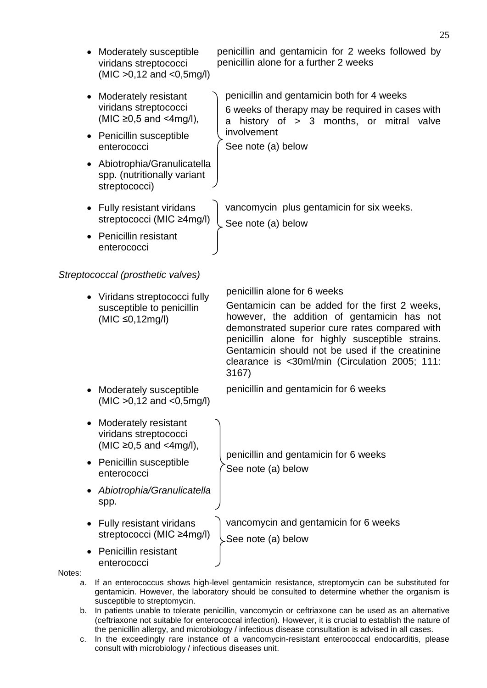|              | Moderately susceptible<br>viridans streptococci<br>$(MIC > 0, 12$ and < 0,5mg/l)                        | penicillin and gentamicin for 2 weeks followed by<br>penicillin alone for a further 2 weeks                                                                                                                                                                                                                                                       |
|--------------|---------------------------------------------------------------------------------------------------------|---------------------------------------------------------------------------------------------------------------------------------------------------------------------------------------------------------------------------------------------------------------------------------------------------------------------------------------------------|
| $\bullet$    | Moderately resistant<br>viridans streptococci<br>(MIC $\geq$ 0,5 and <4mg/l),                           | penicillin and gentamicin both for 4 weeks<br>6 weeks of therapy may be required in cases with<br>history of > 3 months, or mitral<br>valve<br>a                                                                                                                                                                                                  |
| $\bullet$    | Penicillin susceptible<br>enterococci                                                                   | involvement<br>See note (a) below                                                                                                                                                                                                                                                                                                                 |
| $\bullet$    | Abiotrophia/Granulicatella<br>spp. (nutritionally variant<br>streptococci)                              |                                                                                                                                                                                                                                                                                                                                                   |
|              | • Fully resistant viridans<br>streptococci (MIC ≥4mg/l)                                                 | vancomycin plus gentamicin for six weeks.<br>See note (a) below                                                                                                                                                                                                                                                                                   |
| ٠            | <b>Penicillin resistant</b><br>enterococci                                                              |                                                                                                                                                                                                                                                                                                                                                   |
|              | Streptococcal (prosthetic valves)                                                                       |                                                                                                                                                                                                                                                                                                                                                   |
|              | • Viridans streptococci fully<br>susceptible to penicillin<br>$(MIC \leq 0, 12mg/l)$                    | penicillin alone for 6 weeks<br>Gentamicin can be added for the first 2 weeks,<br>however, the addition of gentamicin has not<br>demonstrated superior cure rates compared with<br>penicillin alone for highly susceptible strains.<br>Gentamicin should not be used if the creatinine<br>clearance is <30ml/min (Circulation 2005; 111:<br>3167) |
|              | Moderately susceptible<br>$(MIC > 0, 12$ and $< 0, 5$ mg/l)                                             | penicillin and gentamicin for 6 weeks                                                                                                                                                                                                                                                                                                             |
|              | Moderately resistant<br>viridans streptococci<br>(MIC $\geq$ 0,5 and <4mg/l),<br>Penicillin susceptible | penicillin and gentamicin for 6 weeks<br>See note (a) below                                                                                                                                                                                                                                                                                       |
|              | enterococci<br>Abiotrophia/Granulicatella<br>spp.                                                       |                                                                                                                                                                                                                                                                                                                                                   |
|              | Fully resistant viridans<br>streptococci (MIC ≥4mg/l)<br><b>Penicillin resistant</b>                    | vancomycin and gentamicin for 6 weeks<br>See note (a) below                                                                                                                                                                                                                                                                                       |
| Notes:<br>a. | enterococci                                                                                             | If an enterococcus shows high-level gentamicin resistance, streptomycin can be substituted for                                                                                                                                                                                                                                                    |
|              |                                                                                                         |                                                                                                                                                                                                                                                                                                                                                   |

Note

- gentamicin. However, the laboratory should be consulted to determine whether the organism is susceptible to streptomycin.
- b. In patients unable to tolerate penicillin, vancomycin or ceftriaxone can be used as an alternative (ceftriaxone not suitable for enterococcal infection). However, it is crucial to establish the nature of the penicillin allergy, and microbiology / infectious disease consultation is advised in all cases.
- c. In the exceedingly rare instance of a vancomycin-resistant enterococcal endocarditis, please consult with microbiology / infectious diseases unit.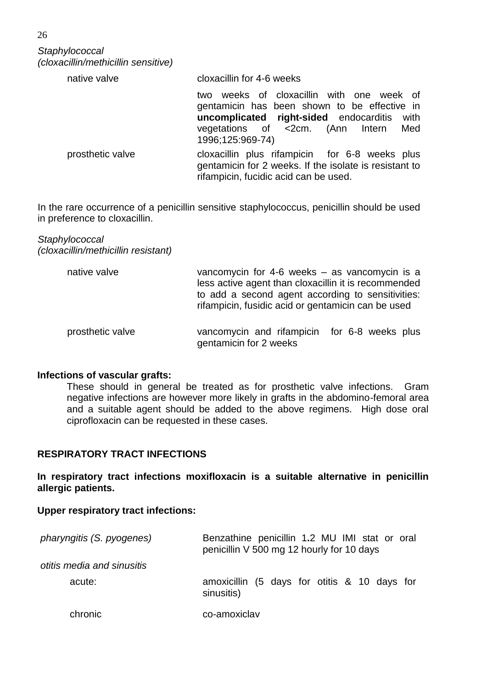*Staphylococcal (cloxacillin/methicillin sensitive)*

| native valve     | cloxacillin for 4-6 weeks                                                                                                                                                                                     |
|------------------|---------------------------------------------------------------------------------------------------------------------------------------------------------------------------------------------------------------|
|                  | weeks of cloxacillin with one week of<br>two<br>gentamicin has been shown to be effective in<br>uncomplicated right-sided endocarditis<br>with<br>vegetations of <2cm. (Ann Intern<br>Med<br>1996;125:969-74) |
| prosthetic valve | cloxacillin plus rifampicin for 6-8 weeks plus<br>gentamicin for 2 weeks. If the isolate is resistant to<br>rifampicin, fucidic acid can be used.                                                             |

In the rare occurrence of a penicillin sensitive staphylococcus, penicillin should be used in preference to cloxacillin.

*Staphylococcal (cloxacillin/methicillin resistant)*

| native valve     | vancomycin for 4-6 weeks - as vancomycin is a<br>less active agent than cloxacillin it is recommended<br>to add a second agent according to sensitivities:<br>rifampicin, fusidic acid or gentamicin can be used |  |
|------------------|------------------------------------------------------------------------------------------------------------------------------------------------------------------------------------------------------------------|--|
| prosthetic valve | vancomycin and rifampicin for 6-8 weeks plus<br>gentamicin for 2 weeks                                                                                                                                           |  |

#### **Infections of vascular grafts:**

<span id="page-25-0"></span>These should in general be treated as for prosthetic valve infections. Gram negative infections are however more likely in grafts in the abdomino-femoral area and a suitable agent should be added to the above regimens. High dose oral ciprofloxacin can be requested in these cases.

#### **RESPIRATORY TRACT INFECTIONS**

**In respiratory tract infections moxifloxacin is a suitable alternative in penicillin allergic patients.**

#### **Upper respiratory tract infections:**

| pharyngitis (S. pyogenes)  | Benzathine penicillin 1.2 MU IMI stat or oral<br>penicillin V 500 mg 12 hourly for 10 days |
|----------------------------|--------------------------------------------------------------------------------------------|
| otitis media and sinusitis |                                                                                            |
| acute:                     | amoxicillin (5 days for otitis & 10 days for<br>sinusitis)                                 |
| chronic                    | co-amoxiclav                                                                               |

26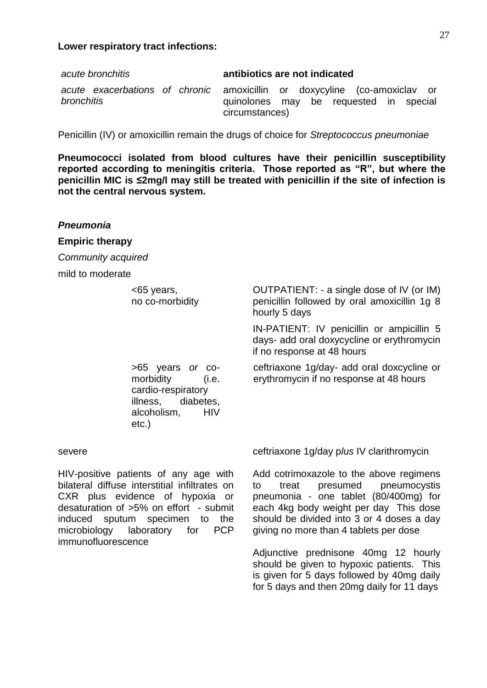*Pneumonia*

| acute bronchitis  | antibiotics are not indicated                                                                                                         |  |
|-------------------|---------------------------------------------------------------------------------------------------------------------------------------|--|
| <i>bronchitis</i> | acute exacerbations of chronic amoxicillin or doxycyline (co-amoxiclay or<br>quinolones may be requested in special<br>circumstances) |  |

Penicillin (IV) or amoxicillin remain the drugs of choice for *Streptococcus pneumoniae*

**Pneumococci isolated from blood cultures have their penicillin susceptibility reported according to meningitis criteria. Those reported as "R", but where the penicillin MIC is ≤2mg/l may still be treated with penicillin if the site of infection is not the central nervous system.** 

| <b>Empiric therapy</b><br>Community acquired<br>mild to moderate |                                                                                                                             |                                                                                                                       |
|------------------------------------------------------------------|-----------------------------------------------------------------------------------------------------------------------------|-----------------------------------------------------------------------------------------------------------------------|
|                                                                  | <65 years,<br>no co-morbidity                                                                                               | OUTPATIENT: - a single dose of IV (or IM)<br>penicillin followed by oral amoxicillin 1g 8<br>hourly 5 days            |
|                                                                  |                                                                                                                             | IN-PATIENT: IV penicillin or ampicillin 5<br>days- add oral doxycycline or erythromycin<br>if no response at 48 hours |
|                                                                  | >65 years or co-<br>morbidity<br>(i.e.<br>cardio-respiratory<br>illness, diabetes,<br><b>HIV</b><br>alcoholism,<br>$etc.$ ) | ceftriaxone 1g/day- add oral doxcycline or<br>erythromycin if no response at 48 hours                                 |
| severe                                                           |                                                                                                                             | ceftriaxone 1g/day plus IV clarithromycin                                                                             |
|                                                                  | HIV-positive patients of any age with                                                                                       | Add cotrimoxazole to the above regimens                                                                               |

bilateral diffuse interstitial infiltrates on CXR plus evidence of hypoxia or desaturation of >5% on effort - submit induced sputum specimen to the microbiology laboratory for PCP immunofluorescence

to treat presumed pneumocystis pneumonia - one tablet (80/400mg) for each 4kg body weight per day This dose should be divided into 3 or 4 doses a day giving no more than 4 tablets per dose

Adjunctive prednisone 40mg 12 hourly should be given to hypoxic patients. This is given for 5 days followed by 40mg daily for 5 days and then 20mg daily for 11 days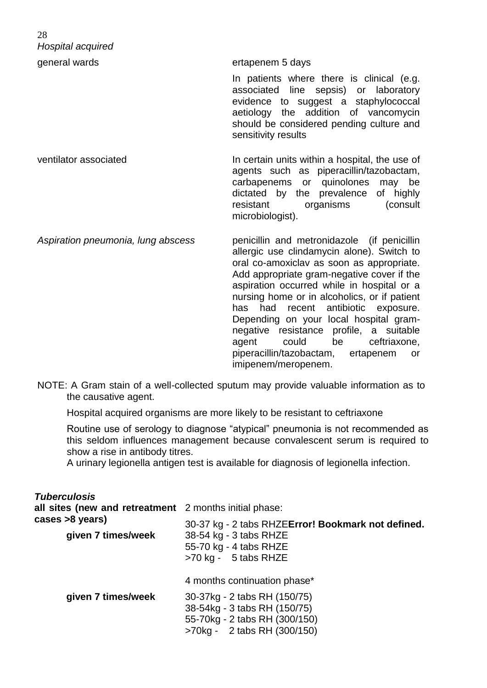28 *Hospital acquired* 

general wards ertapenem 5 days

In patients where there is clinical (e.g. associated line sepsis) or laboratory evidence to suggest a staphylococcal aetiology the addition of vancomycin should be considered pending culture and sensitivity results

- ventilator associated **In certain units within a hospital, the use of** agents such as piperacillin/tazobactam, carbapenems or quinolones may be dictated by the prevalence of highly resistant organisms (consult microbiologist).
- *Aspiration pneumonia, lung abscess* penicillin and metronidazole (if penicillin allergic use clindamycin alone). Switch to oral co-amoxiclav as soon as appropriate. Add appropriate gram-negative cover if the aspiration occurred while in hospital or a nursing home or in alcoholics, or if patient has had recent antibiotic exposure. Depending on your local hospital gramnegative resistance profile, a suitable agent could be ceftriaxone, piperacillin/tazobactam, ertapenem or imipenem/meropenem.
- NOTE: A Gram stain of a well-collected sputum may provide valuable information as to the causative agent.

Hospital acquired organisms are more likely to be resistant to ceftriaxone

Routine use of serology to diagnose "atypical" pneumonia is not recommended as this seldom influences management because convalescent serum is required to show a rise in antibody titres.

A urinary legionella antigen test is available for diagnosis of legionella infection.

| <b>Tuberculosis</b><br>all sites (new and retreatment 2 months initial phase: |                                                                                                                                                              |  |
|-------------------------------------------------------------------------------|--------------------------------------------------------------------------------------------------------------------------------------------------------------|--|
| cases >8 years)<br>given 7 times/week                                         | 30-37 kg - 2 tabs RHZEError! Bookmark not defined.<br>38-54 kg - 3 tabs RHZE<br>55-70 kg - 4 tabs RHZE<br>>70 kg - 5 tabs RHZE                               |  |
| given 7 times/week                                                            | 4 months continuation phase*<br>30-37kg - 2 tabs RH (150/75)<br>38-54kg - 3 tabs RH (150/75)<br>55-70kg - 2 tabs RH (300/150)<br>>70kg - 2 tabs RH (300/150) |  |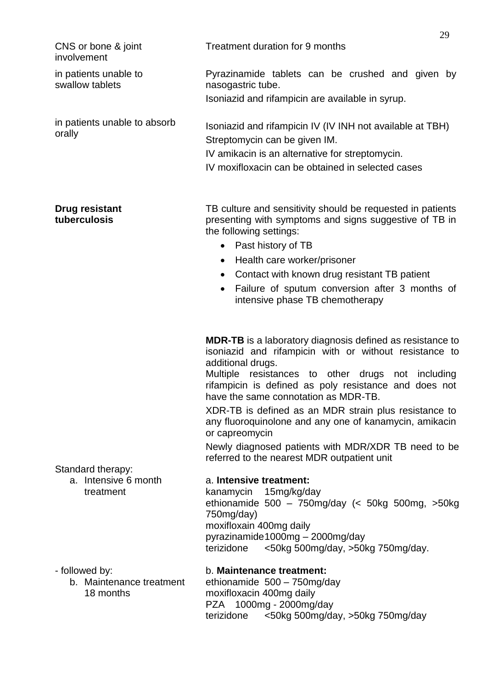29 CNS or bone & joint involvement Treatment duration for 9 months in patients unable to swallow tablets in patients unable to absorb orally Pyrazinamide tablets can be crushed and given by nasogastric tube. Isoniazid and rifampicin are available in syrup. Isoniazid and rifampicin IV (IV INH not available at TBH) Streptomycin can be given IM. IV amikacin is an alternative for streptomycin. IV moxifloxacin can be obtained in selected cases **Drug resistant tuberculosis** TB culture and sensitivity should be requested in patients presenting with symptoms and signs suggestive of TB in the following settings: • Past history of TB • Health care worker/prisoner • Contact with known drug resistant TB patient Failure of sputum conversion after 3 months of intensive phase TB chemotherapy **MDR-TB** is a laboratory diagnosis defined as resistance to isoniazid and rifampicin with or without resistance to additional drugs. Multiple resistances to other drugs not including rifampicin is defined as poly resistance and does not have the same connotation as MDR-TB. XDR-TB is defined as an MDR strain plus resistance to any fluoroquinolone and any one of kanamycin, amikacin or capreomycin Newly diagnosed patients with MDR/XDR TB need to be referred to the nearest MDR outpatient unit Standard therapy: a. Intensive 6 month treatment - followed by: b. Maintenance treatment 18 months a. **Intensive treatment:** kanamycin 15mg/kg/day ethionamide 500 – 750mg/day (< 50kg 500mg, >50kg 750mg/day) moxifloxain 400mg daily pyrazinamide1000mg – 2000mg/day terizidone <50kg 500mg/day, >50kg 750mg/day. b. **Maintenance treatment:** ethionamide 500 – 750mg/day moxifloxacin 400mg daily PZA 1000mg - 2000mg/day terizidone <50kg 500mg/day, >50kg 750mg/day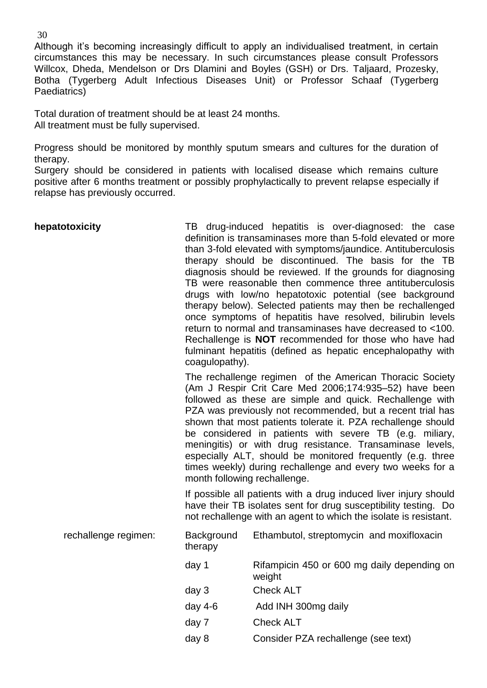Although it's becoming increasingly difficult to apply an individualised treatment, in certain circumstances this may be necessary. In such circumstances please consult Professors Willcox, Dheda, Mendelson or Drs Dlamini and Boyles (GSH) or Drs. Taljaard, Prozesky, Botha (Tygerberg Adult Infectious Diseases Unit) or Professor Schaaf (Tygerberg Paediatrics)

Total duration of treatment should be at least 24 months. All treatment must be fully supervised.

Progress should be monitored by monthly sputum smears and cultures for the duration of therapy.

Surgery should be considered in patients with localised disease which remains culture positive after 6 months treatment or possibly prophylactically to prevent relapse especially if relapse has previously occurred.

| hepatotoxicity       | TB drug-induced hepatitis is over-diagnosed: the case<br>definition is transaminases more than 5-fold elevated or more<br>than 3-fold elevated with symptoms/jaundice. Antituberculosis<br>therapy should be discontinued. The basis for the TB<br>diagnosis should be reviewed. If the grounds for diagnosing<br>TB were reasonable then commence three antituberculosis<br>drugs with low/no hepatotoxic potential (see background<br>therapy below). Selected patients may then be rechallenged<br>once symptoms of hepatitis have resolved, bilirubin levels<br>return to normal and transaminases have decreased to <100.<br>Rechallenge is NOT recommended for those who have had<br>fulminant hepatitis (defined as hepatic encephalopathy with<br>coagulopathy).<br>The rechallenge regimen of the American Thoracic Society<br>(Am J Respir Crit Care Med 2006;174:935-52) have been<br>followed as these are simple and quick. Rechallenge with<br>PZA was previously not recommended, but a recent trial has<br>shown that most patients tolerate it. PZA rechallenge should<br>be considered in patients with severe TB (e.g. miliary,<br>meningitis) or with drug resistance. Transaminase levels,<br>especially ALT, should be monitored frequently (e.g. three<br>times weekly) during rechallenge and every two weeks for a<br>month following rechallenge. |                                                                                                                                                                                                         |
|----------------------|-----------------------------------------------------------------------------------------------------------------------------------------------------------------------------------------------------------------------------------------------------------------------------------------------------------------------------------------------------------------------------------------------------------------------------------------------------------------------------------------------------------------------------------------------------------------------------------------------------------------------------------------------------------------------------------------------------------------------------------------------------------------------------------------------------------------------------------------------------------------------------------------------------------------------------------------------------------------------------------------------------------------------------------------------------------------------------------------------------------------------------------------------------------------------------------------------------------------------------------------------------------------------------------------------------------------------------------------------------------------------------|---------------------------------------------------------------------------------------------------------------------------------------------------------------------------------------------------------|
|                      |                                                                                                                                                                                                                                                                                                                                                                                                                                                                                                                                                                                                                                                                                                                                                                                                                                                                                                                                                                                                                                                                                                                                                                                                                                                                                                                                                                             |                                                                                                                                                                                                         |
|                      |                                                                                                                                                                                                                                                                                                                                                                                                                                                                                                                                                                                                                                                                                                                                                                                                                                                                                                                                                                                                                                                                                                                                                                                                                                                                                                                                                                             | If possible all patients with a drug induced liver injury should<br>have their TB isolates sent for drug susceptibility testing. Do<br>not rechallenge with an agent to which the isolate is resistant. |
| rechallenge regimen: | Background<br>therapy                                                                                                                                                                                                                                                                                                                                                                                                                                                                                                                                                                                                                                                                                                                                                                                                                                                                                                                                                                                                                                                                                                                                                                                                                                                                                                                                                       | Ethambutol, streptomycin and moxifloxacin                                                                                                                                                               |
|                      | day 1                                                                                                                                                                                                                                                                                                                                                                                                                                                                                                                                                                                                                                                                                                                                                                                                                                                                                                                                                                                                                                                                                                                                                                                                                                                                                                                                                                       | Rifampicin 450 or 600 mg daily depending on<br>weight                                                                                                                                                   |
|                      | day 3                                                                                                                                                                                                                                                                                                                                                                                                                                                                                                                                                                                                                                                                                                                                                                                                                                                                                                                                                                                                                                                                                                                                                                                                                                                                                                                                                                       | <b>Check ALT</b>                                                                                                                                                                                        |
|                      | day 4-6                                                                                                                                                                                                                                                                                                                                                                                                                                                                                                                                                                                                                                                                                                                                                                                                                                                                                                                                                                                                                                                                                                                                                                                                                                                                                                                                                                     | Add INH 300mg daily                                                                                                                                                                                     |
|                      | day 7                                                                                                                                                                                                                                                                                                                                                                                                                                                                                                                                                                                                                                                                                                                                                                                                                                                                                                                                                                                                                                                                                                                                                                                                                                                                                                                                                                       | <b>Check ALT</b>                                                                                                                                                                                        |
|                      | day 8                                                                                                                                                                                                                                                                                                                                                                                                                                                                                                                                                                                                                                                                                                                                                                                                                                                                                                                                                                                                                                                                                                                                                                                                                                                                                                                                                                       | Consider PZA rechallenge (see text)                                                                                                                                                                     |

30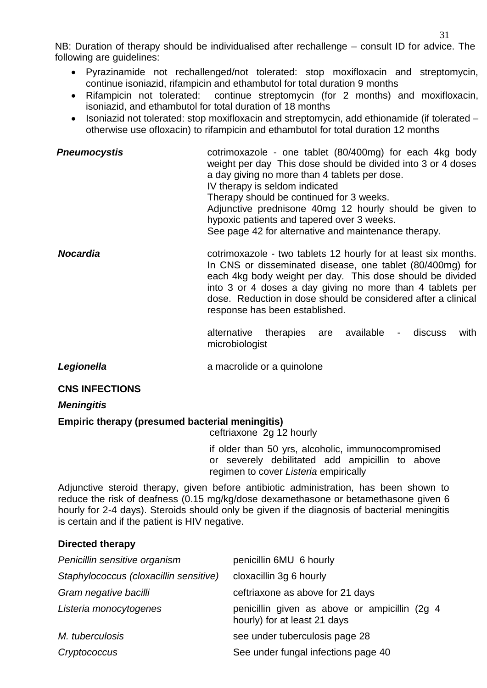NB: Duration of therapy should be individualised after rechallenge – consult ID for advice. The following are guidelines:

- Pyrazinamide not rechallenged/not tolerated: stop moxifloxacin and streptomycin, continue isoniazid, rifampicin and ethambutol for total duration 9 months
- Rifampicin not tolerated: continue streptomycin (for 2 months) and moxifloxacin, isoniazid, and ethambutol for total duration of 18 months
- Isoniazid not tolerated: stop moxifloxacin and streptomycin, add ethionamide (if tolerated otherwise use ofloxacin) to rifampicin and ethambutol for total duration 12 months

| <b>Pneumocystis</b> | cotrimoxazole - one tablet (80/400mg) for each 4kg body<br>weight per day This dose should be divided into 3 or 4 doses<br>a day giving no more than 4 tablets per dose.<br>IV therapy is seldom indicated<br>Therapy should be continued for 3 weeks.<br>Adjunctive prednisone 40mg 12 hourly should be given to<br>hypoxic patients and tapered over 3 weeks.<br>See page 42 for alternative and maintenance therapy. |
|---------------------|-------------------------------------------------------------------------------------------------------------------------------------------------------------------------------------------------------------------------------------------------------------------------------------------------------------------------------------------------------------------------------------------------------------------------|
| <b>Nocardia</b>     | cotrimoxazole - two tablets 12 hourly for at least six months.<br>In CNS or disseminated disease, one tablet (80/400mg) for<br>each 4kg body weight per day. This dose should be divided                                                                                                                                                                                                                                |

dose. Reduction in dose should be considered after a clinical response has been established. alternative therapies are available - discuss with

into 3 or 4 doses a day giving no more than 4 tablets per

**Legionella a** macrolide or a quinolone

microbiologist

<span id="page-30-0"></span>**CNS INFECTIONS**

*Meningitis* 

#### **Empiric therapy (presumed bacterial meningitis)**

ceftriaxone 2g 12 hourly

if older than 50 yrs, alcoholic, immunocompromised or severely debilitated add ampicillin to above regimen to cover *Listeria* empirically

Adjunctive steroid therapy, given before antibiotic administration, has been shown to reduce the risk of deafness (0.15 mg/kg/dose dexamethasone or betamethasone given 6 hourly for 2-4 days). Steroids should only be given if the diagnosis of bacterial meningitis is certain and if the patient is HIV negative.

#### **Directed therapy**

| Penicillin sensitive organism          | penicillin 6MU 6 hourly                                                       |
|----------------------------------------|-------------------------------------------------------------------------------|
| Staphylococcus (cloxacillin sensitive) | cloxacillin 3g 6 hourly                                                       |
| Gram negative bacilli                  | ceftriaxone as above for 21 days                                              |
| Listeria monocytogenes                 | penicillin given as above or ampicillin (2g 4<br>hourly) for at least 21 days |
| M. tuberculosis                        | see under tuberculosis page 28                                                |
| Cryptococcus                           | See under fungal infections page 40                                           |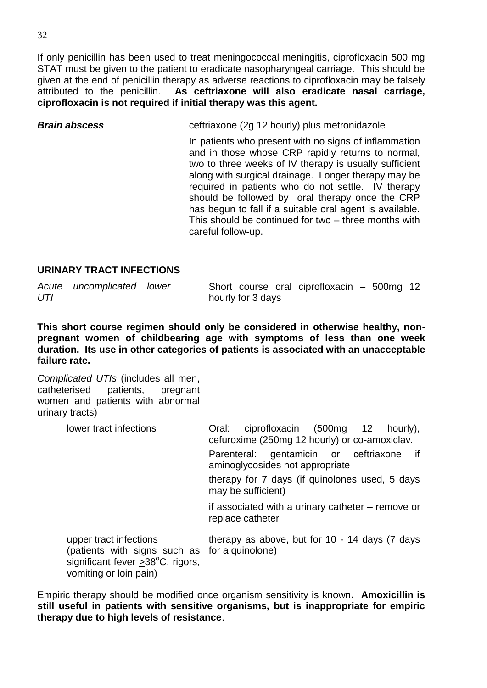If only penicillin has been used to treat meningococcal meningitis, ciprofloxacin 500 mg STAT must be given to the patient to eradicate nasopharyngeal carriage. This should be given at the end of penicillin therapy as adverse reactions to ciprofloxacin may be falsely attributed to the penicillin. **As ceftriaxone will also eradicate nasal carriage, ciprofloxacin is not required if initial therapy was this agent.**

*Brain abscess* ceftriaxone (2g 12 hourly) plus metronidazole

In patients who present with no signs of inflammation and in those whose CRP rapidly returns to normal, two to three weeks of IV therapy is usually sufficient along with surgical drainage. Longer therapy may be required in patients who do not settle. IV therapy should be followed by oral therapy once the CRP has begun to fall if a suitable oral agent is available. This should be continued for two – three months with careful follow-up.

#### **URINARY TRACT INFECTIONS**

*Acute uncomplicated lower UTI* 

<span id="page-31-0"></span>Short course oral ciprofloxacin – 500mg 12 hourly for 3 days

**This short course regimen should only be considered in otherwise healthy, nonpregnant women of childbearing age with symptoms of less than one week duration. Its use in other categories of patients is associated with an unacceptable failure rate.**

*Complicated UTIs* (includes all men, catheterised patients, pregnant women and patients with abnormal urinary tracts)

> lower tract infections Oral: ciprofloxacin (500mg 12 hourly), cefuroxime (250mg 12 hourly) or co-amoxiclav. Parenteral: gentamicin or ceftriaxone if aminoglycosides not appropriate therapy for 7 days (if quinolones used, 5 days may be sufficient) if associated with a urinary catheter – remove or replace catheter upper tract infections (patients with signs such as for a quinolone) significant fever  $>38^{\circ}$ C, rigors, vomiting or loin pain) therapy as above, but for 10 - 14 days (7 days

Empiric therapy should be modified once organism sensitivity is known**. Amoxicillin is still useful in patients with sensitive organisms, but is inappropriate for empiric therapy due to high levels of resistance**.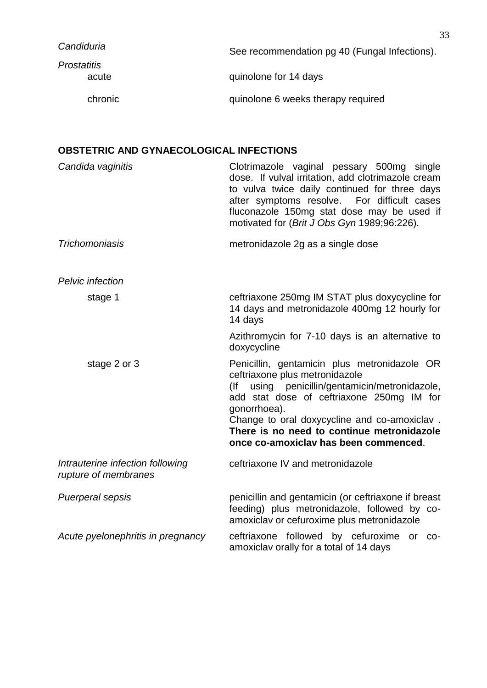| Candiduria                  | See recommendation pg 40 (Fungal Infections). |
|-----------------------------|-----------------------------------------------|
| <b>Prostatitis</b><br>acute | quinolone for 14 days                         |
| chronic                     | quinolone 6 weeks therapy required            |

# **OBSTETRIC AND GYNAECOLOGICAL INFECTIONS**

<span id="page-32-0"></span>

| Candida vaginitis                                        | Clotrimazole vaginal pessary 500mg single<br>dose. If vulval irritation, add clotrimazole cream<br>to vulva twice daily continued for three days<br>after symptoms resolve. For difficult cases<br>fluconazole 150mg stat dose may be used if<br>motivated for (Brit J Obs Gyn 1989;96:226).                                            |
|----------------------------------------------------------|-----------------------------------------------------------------------------------------------------------------------------------------------------------------------------------------------------------------------------------------------------------------------------------------------------------------------------------------|
| Trichomoniasis                                           | metronidazole 2g as a single dose                                                                                                                                                                                                                                                                                                       |
| Pelvic infection                                         |                                                                                                                                                                                                                                                                                                                                         |
| stage 1                                                  | ceftriaxone 250mg IM STAT plus doxycycline for<br>14 days and metronidazole 400mg 12 hourly for<br>14 days                                                                                                                                                                                                                              |
|                                                          | Azithromycin for 7-10 days is an alternative to<br>doxycycline                                                                                                                                                                                                                                                                          |
| stage 2 or 3                                             | Penicillin, gentamicin plus metronidazole OR<br>ceftriaxone plus metronidazole<br>using penicillin/gentamicin/metronidazole,<br>(lf<br>add stat dose of ceftriaxone 250mg IM for<br>gonorrhoea).<br>Change to oral doxycycline and co-amoxiclav.<br>There is no need to continue metronidazole<br>once co-amoxiclav has been commenced. |
| Intrauterine infection following<br>rupture of membranes | ceftriaxone IV and metronidazole                                                                                                                                                                                                                                                                                                        |
| Puerperal sepsis                                         | penicillin and gentamicin (or ceftriaxone if breast<br>feeding) plus metronidazole, followed by co-<br>amoxiclav or cefuroxime plus metronidazole                                                                                                                                                                                       |
| Acute pyelonephritis in pregnancy                        | ceftriaxone followed by cefuroxime or<br>$CO -$<br>amoxiclav orally for a total of 14 days                                                                                                                                                                                                                                              |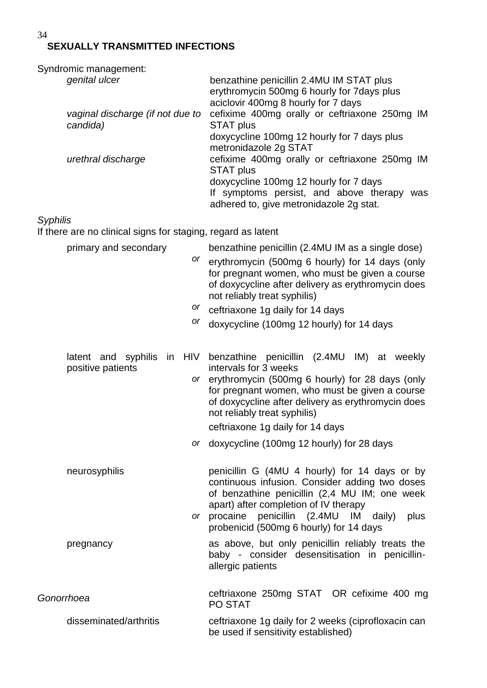#### <span id="page-33-0"></span>34 **SEXUALLY TRANSMITTED INFECTIONS**

| Syndromic management:                        |                                                                                                                                |
|----------------------------------------------|--------------------------------------------------------------------------------------------------------------------------------|
| genital ulcer                                | benzathine penicillin 2.4MU IM STAT plus<br>erythromycin 500mg 6 hourly for 7 days plus<br>aciclovir 400mg 8 hourly for 7 days |
| vaginal discharge (if not due to<br>candida) | cefixime 400mg orally or ceftriaxone 250mg IM<br><b>STAT plus</b>                                                              |
|                                              | doxycycline 100mg 12 hourly for 7 days plus<br>metronidazole 2g STAT                                                           |
| urethral discharge                           | cefixime 400mg orally or ceftriaxone 250mg IM<br><b>STAT plus</b>                                                              |
|                                              | doxycycline 100mg 12 hourly for 7 days                                                                                         |
|                                              | If symptoms persist, and above therapy was<br>adhered to, give metronidazole 2g stat.                                          |
| $\sim$ $\cdots$                              |                                                                                                                                |

### *Syphilis*

If there are no clinical signs for staging, regard as latent

| primary and secondary                           | or<br>or | benzathine penicillin (2.4MU IM as a single dose)<br>erythromycin (500mg 6 hourly) for 14 days (only<br>for pregnant women, who must be given a course<br>of doxycycline after delivery as erythromycin does<br>not reliably treat syphilis)<br><sup>or</sup> ceftriaxone 1g daily for 14 days<br>doxycycline (100mg 12 hourly) for 14 days           |
|-------------------------------------------------|----------|-------------------------------------------------------------------------------------------------------------------------------------------------------------------------------------------------------------------------------------------------------------------------------------------------------------------------------------------------------|
| latent and syphilis in HIV<br>positive patients |          | benzathine penicillin (2.4MU IM) at weekly<br>intervals for 3 weeks<br>or erythromycin (500mg 6 hourly) for 28 days (only<br>for pregnant women, who must be given a course<br>of doxycycline after delivery as erythromycin does<br>not reliably treat syphilis)<br>ceftriaxone 1g daily for 14 days<br>or doxycycline (100mg 12 hourly) for 28 days |
| neurosyphilis                                   |          | penicillin G (4MU 4 hourly) for 14 days or by<br>continuous infusion. Consider adding two doses<br>of benzathine penicillin (2,4 MU IM; one week<br>apart) after completion of IV therapy<br>or procaine penicillin (2.4MU IM<br>daily)<br>plus<br>probenicid (500mg 6 hourly) for 14 days                                                            |
| pregnancy                                       |          | as above, but only penicillin reliably treats the<br>baby - consider desensitisation in penicillin-<br>allergic patients                                                                                                                                                                                                                              |
| Gonorrhoea<br>disseminated/arthritis            |          | ceftriaxone 250mg STAT OR cefixime 400 mg<br><b>PO STAT</b><br>ceftriaxone 1g daily for 2 weeks (ciprofloxacin can                                                                                                                                                                                                                                    |
|                                                 |          | be used if sensitivity established)                                                                                                                                                                                                                                                                                                                   |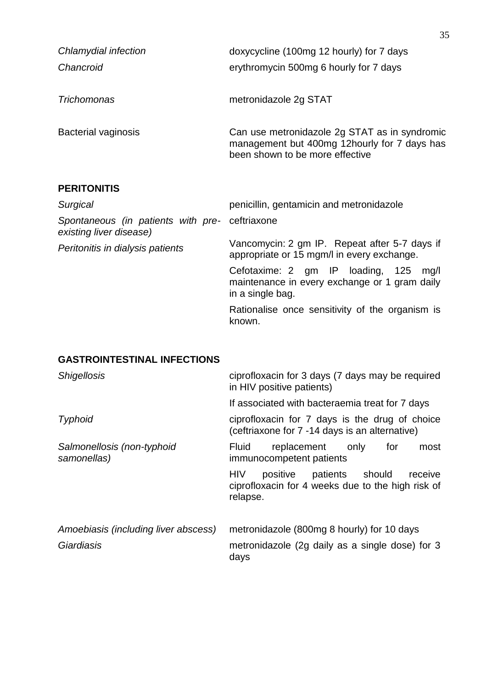| Chlamydial infection       | doxycycline (100mg 12 hourly) for 7 days                                                                                         |
|----------------------------|----------------------------------------------------------------------------------------------------------------------------------|
| Chancroid                  | erythromycin 500mg 6 hourly for 7 days                                                                                           |
| Trichomonas                | metronidazole 2g STAT                                                                                                            |
| <b>Bacterial vaginosis</b> | Can use metronidazole 2g STAT as in syndromic<br>management but 400mg 12hourly for 7 days has<br>been shown to be more effective |

# <span id="page-34-0"></span>**PERITONITIS**

| Surgical                                                                  | penicillin, gentamicin and metronidazole                                                                      |
|---------------------------------------------------------------------------|---------------------------------------------------------------------------------------------------------------|
| Spontaneous (in patients with pre- ceftriaxone<br>existing liver disease) |                                                                                                               |
| Peritonitis in dialysis patients                                          | Vancomycin: 2 gm IP. Repeat after 5-7 days if<br>appropriate or 15 mgm/l in every exchange.                   |
|                                                                           | Cefotaxime: 2 gm IP loading, 125<br>mg/l<br>maintenance in every exchange or 1 gram daily<br>in a single bag. |
|                                                                           | Rationalise once sensitivity of the organism is<br>known.                                                     |

# **GASTROINTESTINAL INFECTIONS**

<span id="page-34-1"></span>

| <b>Shigellosis</b>                        | ciprofloxacin for 3 days (7 days may be required<br>in HIV positive patients)                                |
|-------------------------------------------|--------------------------------------------------------------------------------------------------------------|
|                                           | If associated with bacteraemia treat for 7 days                                                              |
| <b>Typhoid</b>                            | ciprofloxacin for 7 days is the drug of choice<br>(ceftriaxone for 7 -14 days is an alternative)             |
| Salmonellosis (non-typhoid<br>samonellas) | replacement only<br>for<br>most<br><b>Fluid</b><br>immunocompetent patients                                  |
|                                           | HIV.<br>positive patients should<br>receive<br>ciprofloxacin for 4 weeks due to the high risk of<br>relapse. |
| Amoebiasis (including liver abscess)      | metronidazole (800mg 8 hourly) for 10 days                                                                   |
| Giardiasis                                | metronidazole (2g daily as a single dose) for 3<br>days                                                      |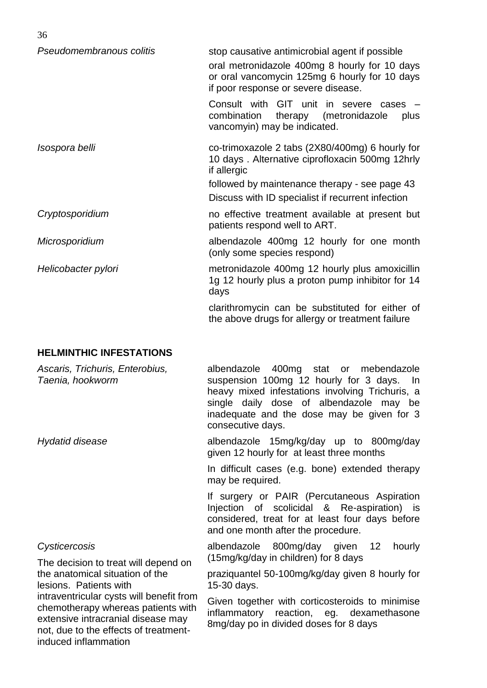36

| Pseudomembranous colitis                            | stop causative antimicrobial agent if possible<br>oral metronidazole 400mg 8 hourly for 10 days<br>or oral vancomycin 125mg 6 hourly for 10 days<br>if poor response or severe disease.                                                                         |
|-----------------------------------------------------|-----------------------------------------------------------------------------------------------------------------------------------------------------------------------------------------------------------------------------------------------------------------|
|                                                     | Consult with GIT unit in severe cases<br>combination<br>therapy (metronidazole<br>plus<br>vancomyin) may be indicated.                                                                                                                                          |
| Isospora belli                                      | co-trimoxazole 2 tabs (2X80/400mg) 6 hourly for<br>10 days. Alternative ciprofloxacin 500mg 12hrly<br>if allergic                                                                                                                                               |
|                                                     | followed by maintenance therapy - see page 43<br>Discuss with ID specialist if recurrent infection                                                                                                                                                              |
|                                                     |                                                                                                                                                                                                                                                                 |
| Cryptosporidium                                     | no effective treatment available at present but<br>patients respond well to ART.                                                                                                                                                                                |
| Microsporidium                                      | albendazole 400mg 12 hourly for one month<br>(only some species respond)                                                                                                                                                                                        |
| Helicobacter pylori                                 | metronidazole 400mg 12 hourly plus amoxicillin<br>1g 12 hourly plus a proton pump inhibitor for 14<br>days                                                                                                                                                      |
|                                                     | clarithromycin can be substituted for either of<br>the above drugs for allergy or treatment failure                                                                                                                                                             |
| <b>HELMINTHIC INFESTATIONS</b>                      |                                                                                                                                                                                                                                                                 |
| Ascaris, Trichuris, Enterobius,<br>Taenia, hookworm | albendazole 400mg<br>stat<br>mebendazole<br>or<br>suspension 100mg 12 hourly for 3 days.<br>In<br>heavy mixed infestations involving Trichuris, a<br>single daily dose of albendazole may be<br>inadequate and the dose may be given for 3<br>consecutive days. |

# *Hydatid disease* albendazole 15mg/kg/day up to 800mg/day given 12 hourly for at least three months

<span id="page-35-0"></span>In difficult cases (e.g. bone) extended therapy may be required.

If surgery or PAIR (Percutaneous Aspiration Injection of scolicidal & Re-aspiration) is considered, treat for at least four days before and one month after the procedure.

#### *Cysticercosis*

The decision to treat will depend on the anatomical situation of the lesions. Patients with intraventricular cysts will benefit from chemotherapy whereas patients with extensive intracranial disease may not, due to the effects of treatmentinduced inflammation

albendazole 800mg/day given 12 hourly (15mg/kg/day in children) for 8 days

praziquantel 50-100mg/kg/day given 8 hourly for 15-30 days.

Given together with corticosteroids to minimise inflammatory reaction, eg. dexamethasone 8mg/day po in divided doses for 8 days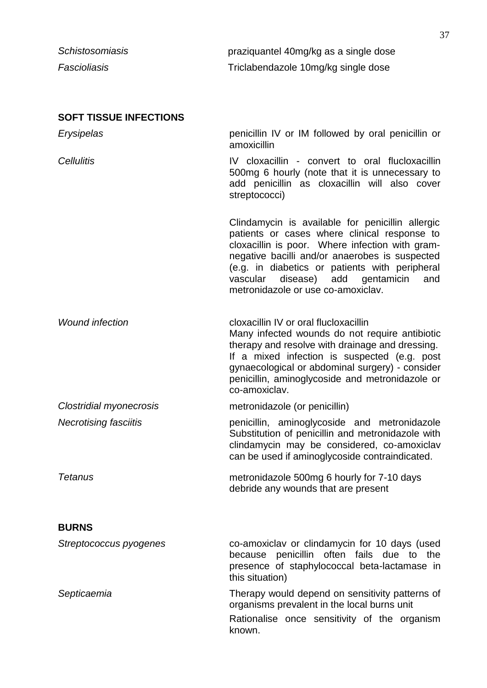| <b>Schistosomiasis</b> | praziquantel 40mg/kg as a single dose |
|------------------------|---------------------------------------|
| Fascioliasis           | Triclabendazole 10mg/kg single dose   |

# <span id="page-36-0"></span>**SOFT TISSUE INFECTIONS**

| Erysipelas                     | penicillin IV or IM followed by oral penicillin or<br>amoxicillin                                                                                                                                                                                                                                                                           |
|--------------------------------|---------------------------------------------------------------------------------------------------------------------------------------------------------------------------------------------------------------------------------------------------------------------------------------------------------------------------------------------|
| <b>Cellulitis</b>              | IV cloxacillin - convert to oral flucloxacillin<br>500mg 6 hourly (note that it is unnecessary to<br>add penicillin as cloxacillin will also cover<br>streptococci)                                                                                                                                                                         |
|                                | Clindamycin is available for penicillin allergic<br>patients or cases where clinical response to<br>cloxacillin is poor. Where infection with gram-<br>negative bacilli and/or anaerobes is suspected<br>(e.g. in diabetics or patients with peripheral<br>disease) add gentamicin<br>vascular<br>and<br>metronidazole or use co-amoxiclav. |
| <b>Wound infection</b>         | cloxacillin IV or oral flucloxacillin<br>Many infected wounds do not require antibiotic<br>therapy and resolve with drainage and dressing.<br>If a mixed infection is suspected (e.g. post<br>gynaecological or abdominal surgery) - consider<br>penicillin, aminoglycoside and metronidazole or<br>co-amoxiclav.                           |
| <b>Clostridial myonecrosis</b> | metronidazole (or penicillin)                                                                                                                                                                                                                                                                                                               |
| <b>Necrotising fasciitis</b>   | penicillin, aminoglycoside and metronidazole<br>Substitution of penicillin and metronidazole with<br>clindamycin may be considered, co-amoxiclav<br>can be used if aminoglycoside contraindicated.                                                                                                                                          |
| <b>Tetanus</b>                 | metronidazole 500mg 6 hourly for 7-10 days<br>debride any wounds that are present                                                                                                                                                                                                                                                           |
| <b>BURNS</b>                   |                                                                                                                                                                                                                                                                                                                                             |
| Streptococcus pyogenes         | co-amoxiclav or clindamycin for 10 days (used<br>because penicillin often fails due to the<br>presence of staphylococcal beta-lactamase in<br>this situation)                                                                                                                                                                               |
| Septicaemia                    | Therapy would depend on sensitivity patterns of<br>organisms prevalent in the local burns unit<br>Rationalise once sensitivity of the organism                                                                                                                                                                                              |

<span id="page-36-1"></span>known.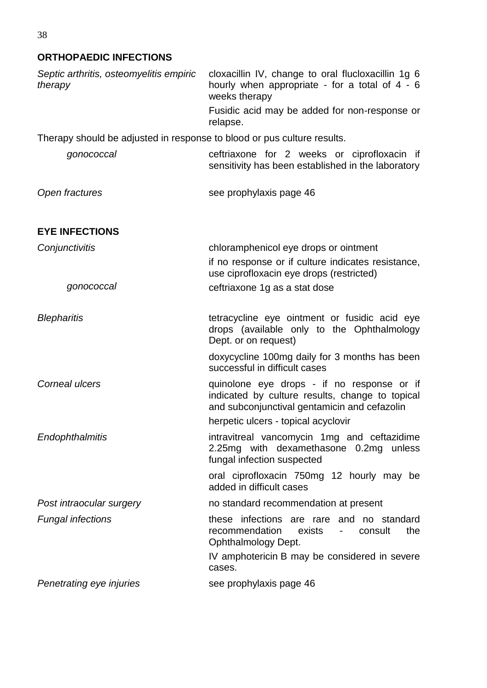## <span id="page-37-0"></span>**ORTHOPAEDIC INFECTIONS**

<span id="page-37-1"></span>

| Septic arthritis, osteomyelitis empiric<br>therapy                      | cloxacillin IV, change to oral flucloxacillin 1g 6<br>hourly when appropriate - for a total of $4 - 6$<br>weeks therapy                                                              |
|-------------------------------------------------------------------------|--------------------------------------------------------------------------------------------------------------------------------------------------------------------------------------|
|                                                                         | Fusidic acid may be added for non-response or<br>relapse.                                                                                                                            |
| Therapy should be adjusted in response to blood or pus culture results. |                                                                                                                                                                                      |
| gonococcal                                                              | ceftriaxone for 2 weeks or ciprofloxacin if<br>sensitivity has been established in the laboratory                                                                                    |
| Open fractures                                                          | see prophylaxis page 46                                                                                                                                                              |
| <b>EYE INFECTIONS</b>                                                   |                                                                                                                                                                                      |
| Conjunctivitis                                                          | chloramphenicol eye drops or ointment                                                                                                                                                |
|                                                                         | if no response or if culture indicates resistance,<br>use ciprofloxacin eye drops (restricted)                                                                                       |
| gonococcal                                                              | ceftriaxone 1g as a stat dose                                                                                                                                                        |
| <b>Blepharitis</b>                                                      | tetracycline eye ointment or fusidic acid eye<br>drops (available only to the Ophthalmology<br>Dept. or on request)                                                                  |
|                                                                         | doxycycline 100mg daily for 3 months has been<br>successful in difficult cases                                                                                                       |
| Corneal ulcers                                                          | quinolone eye drops - if no response or if<br>indicated by culture results, change to topical<br>and subconjunctival gentamicin and cefazolin<br>herpetic ulcers - topical acyclovir |
| Endophthalmitis                                                         | intravitreal vancomycin 1mg and ceftazidime<br>2.25mg with dexamethasone 0.2mg unless<br>fungal infection suspected                                                                  |
|                                                                         | oral ciprofloxacin 750mg 12 hourly may be<br>added in difficult cases                                                                                                                |
| Post intraocular surgery                                                | no standard recommendation at present                                                                                                                                                |
| <b>Fungal infections</b>                                                | these infections are rare and no standard<br>recommendation<br>exists<br>consult<br>the<br>$\sim 100$ km s $^{-1}$<br>Ophthalmology Dept.                                            |
|                                                                         | IV amphotericin B may be considered in severe<br>cases.                                                                                                                              |
| Penetrating eye injuries                                                | see prophylaxis page 46                                                                                                                                                              |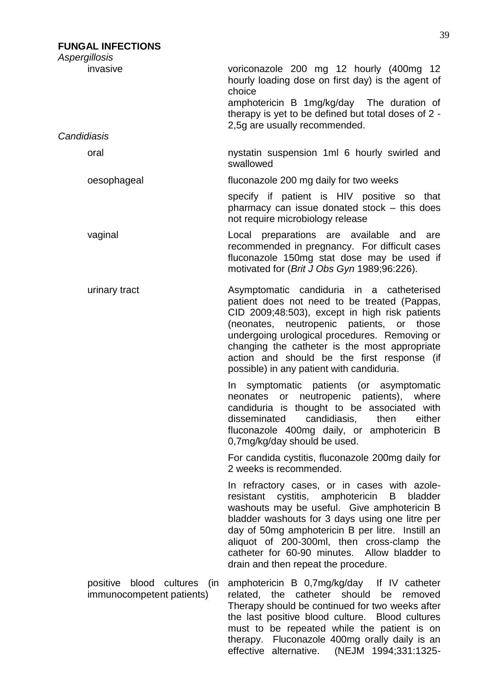#### **FUNGAL INFECTIONS**

<span id="page-38-0"></span>

| Aspergillosis                                            |                                                                                                                                                                                                                                                                                                                                                                                              |
|----------------------------------------------------------|----------------------------------------------------------------------------------------------------------------------------------------------------------------------------------------------------------------------------------------------------------------------------------------------------------------------------------------------------------------------------------------------|
| invasive                                                 | voriconazole 200 mg 12 hourly (400mg 12<br>hourly loading dose on first day) is the agent of<br>choice<br>amphotericin B 1mg/kg/day The duration of<br>therapy is yet to be defined but total doses of 2 -<br>2,5g are usually recommended.                                                                                                                                                  |
| Candidiasis                                              |                                                                                                                                                                                                                                                                                                                                                                                              |
| oral                                                     | nystatin suspension 1ml 6 hourly swirled and<br>swallowed                                                                                                                                                                                                                                                                                                                                    |
| oesophageal                                              | fluconazole 200 mg daily for two weeks                                                                                                                                                                                                                                                                                                                                                       |
|                                                          | specify if patient is HIV positive so that<br>pharmacy can issue donated stock – this does<br>not require microbiology release                                                                                                                                                                                                                                                               |
| vaginal                                                  | Local preparations are available and are<br>recommended in pregnancy. For difficult cases<br>fluconazole 150mg stat dose may be used if<br>motivated for (Brit J Obs Gyn 1989;96:226).                                                                                                                                                                                                       |
| urinary tract                                            | Asymptomatic candiduria in a catheterised<br>patient does not need to be treated (Pappas,<br>CID 2009;48:503), except in high risk patients<br>(neonates, neutropenic patients, or those<br>undergoing urological procedures. Removing or<br>changing the catheter is the most appropriate<br>action and should be the first response (if<br>possible) in any patient with candiduria.       |
|                                                          | In symptomatic patients (or asymptomatic<br>neonates or neutropenic patients), where<br>candiduria is thought to be associated with<br>disseminated candidiasis, then either<br>fluconazole 400mg daily, or amphotericin B<br>0,7mg/kg/day should be used.                                                                                                                                   |
|                                                          | For candida cystitis, fluconazole 200mg daily for<br>2 weeks is recommended.                                                                                                                                                                                                                                                                                                                 |
|                                                          | In refractory cases, or in cases with azole-<br>resistant cystitis, amphotericin<br>B<br>bladder<br>washouts may be useful. Give amphotericin B<br>bladder washouts for 3 days using one litre per<br>day of 50mg amphotericin B per litre. Instill an<br>aliquot of 200-300ml, then cross-clamp the<br>catheter for 60-90 minutes. Allow bladder to<br>drain and then repeat the procedure. |
| positive blood cultures (in<br>immunocompetent patients) | amphotericin B 0,7mg/kg/day If IV catheter<br>related, the catheter should be<br>removed<br>Therapy should be continued for two weeks after<br>the last positive blood culture. Blood cultures<br>must to be repeated while the patient is on<br>therapy. Fluconazole 400mg orally daily is an<br>effective alternative. (NEJM 1994;331:1325-                                                |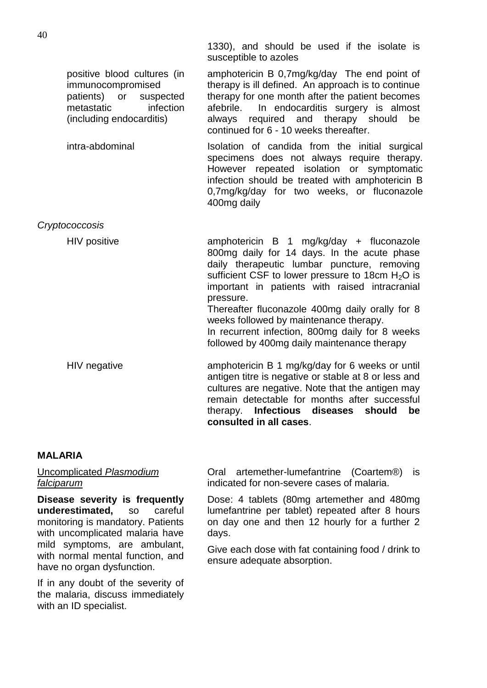1330), and should be used if the isolate is susceptible to azoles

amphotericin B 0,7mg/kg/day The end point of therapy is ill defined. An approach is to continue therapy for one month after the patient becomes afebrile. In endocarditis surgery is almost always required and therapy should be continued for 6 - 10 weeks thereafter.

intra-abdominal **Isolation** of candida from the initial surgical specimens does not always require therapy. However repeated isolation or symptomatic infection should be treated with amphotericin B 0,7mg/kg/day for two weeks, or fluconazole 400mg daily

*Cryptococcosis*

HIV positive **amphotericin** B 1 mg/kg/day + fluconazole 800mg daily for 14 days. In the acute phase daily therapeutic lumbar puncture, removing sufficient CSF to lower pressure to 18cm  $H_2O$  is important in patients with raised intracranial pressure. Thereafter fluconazole 400mg daily orally for 8

weeks followed by maintenance therapy. In recurrent infection, 800mg daily for 8 weeks followed by 400mg daily maintenance therapy

HIV negative **amphotericin B 1 mg/kg/day for 6 weeks or until** antigen titre is negative or stable at 8 or less and cultures are negative. Note that the antigen may remain detectable for months after successful therapy. **Infectious diseases should be consulted in all cases**.

#### <span id="page-39-0"></span>**MALARIA**

Uncomplicated *Plasmodium falciparum*

**Disease severity is frequently underestimated,** so careful monitoring is mandatory. Patients with uncomplicated malaria have mild symptoms, are ambulant, with normal mental function, and have no organ dysfunction.

If in any doubt of the severity of the malaria, discuss immediately with an ID specialist.

Oral artemether-lumefantrine (Coartem®) is indicated for non-severe cases of malaria.

Dose: 4 tablets (80mg artemether and 480mg lumefantrine per tablet) repeated after 8 hours on day one and then 12 hourly for a further 2 days.

Give each dose with fat containing food / drink to ensure adequate absorption.

positive blood cultures (in immunocompromised patients) or suspected metastatic infection (including endocarditis)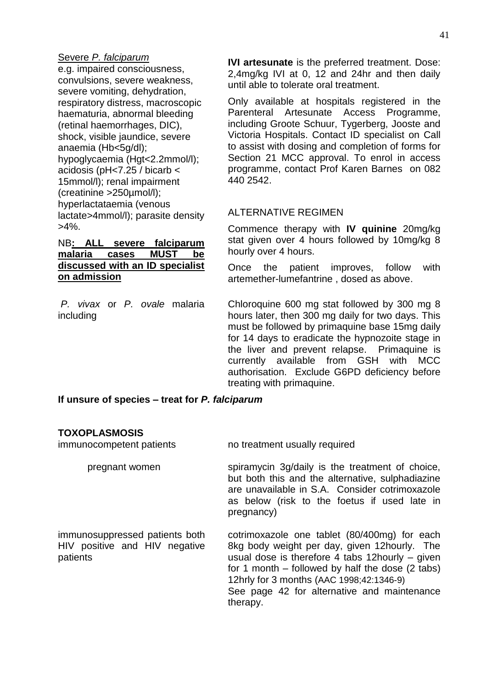#### Severe *P. falciparum*

e.g. impaired consciousness, convulsions, severe weakness, severe vomiting, dehydration, respiratory distress, macroscopic haematuria, abnormal bleeding (retinal haemorrhages, DIC), shock, visible jaundice, severe anaemia (Hb<5g/dl); hypoglycaemia (Hgt<2.2mmol/l); acidosis (pH<7.25 / bicarb < 15mmol/l); renal impairment (creatinine >250µmol/l); hyperlactataemia (venous lactate>4mmol/l); parasite density >4%.

#### NB**: ALL severe falciparum malaria cases MUST be discussed with an ID specialist on admission**

*P. vivax* or *P. ovale* malaria including

**IVI artesunate** is the preferred treatment. Dose: 2,4mg/kg IVI at 0, 12 and 24hr and then daily until able to tolerate oral treatment.

Only available at hospitals registered in the Parenteral Artesunate Access Programme, including Groote Schuur, Tygerberg, Jooste and Victoria Hospitals. Contact ID specialist on Call to assist with dosing and completion of forms for Section 21 MCC approval. To enrol in access programme, contact Prof Karen Barnes on 082 440 2542.

#### ALTERNATIVE REGIMEN

Commence therapy with **IV quinine** 20mg/kg stat given over 4 hours followed by 10mg/kg 8 hourly over 4 hours.

Once the patient improves, follow with artemether-lumefantrine , dosed as above.

Chloroquine 600 mg stat followed by 300 mg 8 hours later, then 300 mg daily for two days. This must be followed by primaquine base 15mg daily for 14 days to eradicate the hypnozoite stage in the liver and prevent relapse. Primaquine is currently available from GSH with MCC authorisation. Exclude G6PD deficiency before treating with primaquine.

**If unsure of species – treat for** *P. falciparum*

#### <span id="page-40-0"></span>**TOXOPLASMOSIS**

patients

immunocompetent patients

pregnant women spiramycin 3g/daily is the treatment of choice, but both this and the alternative, sulphadiazine are unavailable in S.A. Consider cotrimoxazole as below (risk to the foetus if used late in pregnancy) immunosuppressed patients both HIV positive and HIV negative cotrimoxazole one tablet (80/400mg) for each

no treatment usually required

8kg body weight per day, given 12hourly. The usual dose is therefore 4 tabs 12hourly – given for 1 month – followed by half the dose (2 tabs) 12hrly for 3 months (AAC 1998;42:1346-9) See page [42](#page-41-4) for alternative and maintenance therapy.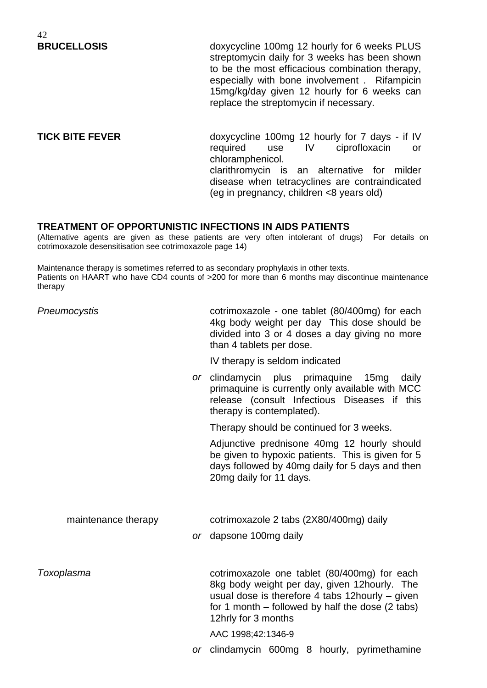<span id="page-41-0"></span>**BRUCELLOSIS** doxycycline 100mg 12 hourly for 6 weeks PLUS streptomycin daily for 3 weeks has been shown to be the most efficacious combination therapy, especially with bone involvement . Rifampicin 15mg/kg/day given 12 hourly for 6 weeks can replace the streptomycin if necessary.

<span id="page-41-1"></span>**TICK BITE FEVER** doxycycline 100mg 12 hourly for 7 days - if IV<br>required use IV ciprofloxacin or ciprofloxacin or chloramphenicol. clarithromycin is an alternative for milder disease when tetracyclines are contraindicated (eg in pregnancy, children <8 years old)

#### <span id="page-41-2"></span>**TREATMENT OF OPPORTUNISTIC INFECTIONS IN AIDS PATIENTS**

(Alternative agents are given as these patients are very often intolerant of drugs) For details on cotrimoxazole desensitisation see cotrimoxazole page [14\)](#page-13-2)

Maintenance therapy is sometimes referred to as secondary prophylaxis in other texts. Patients on HAART who have CD4 counts of >200 for more than 6 months may discontinue maintenance therapy

<span id="page-41-4"></span><span id="page-41-3"></span>

| Pneumocystis        | cotrimoxazole - one tablet (80/400mg) for each<br>4kg body weight per day This dose should be<br>divided into 3 or 4 doses a day giving no more<br>than 4 tablets per dose.                                                  |
|---------------------|------------------------------------------------------------------------------------------------------------------------------------------------------------------------------------------------------------------------------|
|                     | IV therapy is seldom indicated                                                                                                                                                                                               |
|                     | or clindamycin plus primaquine 15mg<br>daily<br>primaquine is currently only available with MCC<br>release (consult Infectious Diseases if this<br>therapy is contemplated).                                                 |
|                     | Therapy should be continued for 3 weeks.                                                                                                                                                                                     |
|                     | Adjunctive prednisone 40mg 12 hourly should<br>be given to hypoxic patients. This is given for 5<br>days followed by 40mg daily for 5 days and then<br>20mg daily for 11 days.                                               |
| maintenance therapy | cotrimoxazole 2 tabs (2X80/400mg) daily                                                                                                                                                                                      |
|                     | or dapsone 100mg daily                                                                                                                                                                                                       |
| Toxoplasma          | cotrimoxazole one tablet (80/400mg) for each<br>8kg body weight per day, given 12hourly. The<br>usual dose is therefore 4 tabs 12hourly - given<br>for 1 month $-$ followed by half the dose (2 tabs)<br>12hrly for 3 months |
|                     | AAC 1998;42:1346-9                                                                                                                                                                                                           |
|                     | or clindamycin 600mg 8 hourly, pyrimethamine                                                                                                                                                                                 |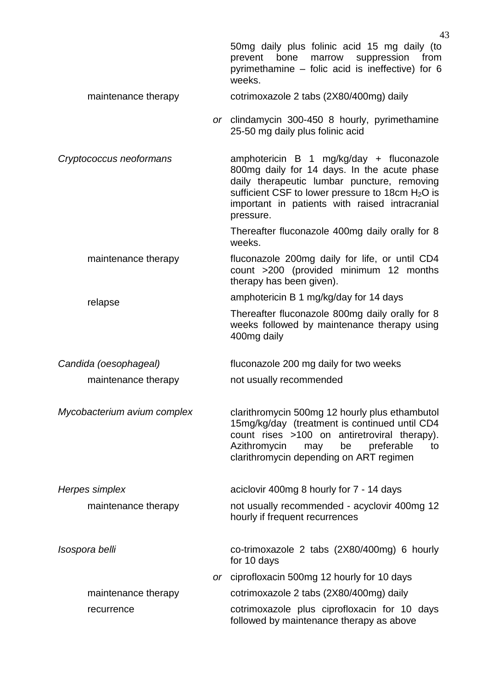<span id="page-42-0"></span>

|                             | 50mg daily plus folinic acid 15 mg daily (to<br>bone<br>from<br>prevent<br>marrow<br>suppression<br>pyrimethamine - folic acid is ineffective) for 6<br>weeks.                                                                                                        |
|-----------------------------|-----------------------------------------------------------------------------------------------------------------------------------------------------------------------------------------------------------------------------------------------------------------------|
| maintenance therapy         | cotrimoxazole 2 tabs (2X80/400mg) daily                                                                                                                                                                                                                               |
|                             | or clindamycin 300-450 8 hourly, pyrimethamine<br>25-50 mg daily plus folinic acid                                                                                                                                                                                    |
| Cryptococcus neoformans     | amphotericin B 1 mg/kg/day + fluconazole<br>800mg daily for 14 days. In the acute phase<br>daily therapeutic lumbar puncture, removing<br>sufficient CSF to lower pressure to 18cm H <sub>2</sub> O is<br>important in patients with raised intracranial<br>pressure. |
|                             | Thereafter fluconazole 400mg daily orally for 8<br>weeks.                                                                                                                                                                                                             |
| maintenance therapy         | fluconazole 200mg daily for life, or until CD4<br>count >200 (provided minimum 12 months<br>therapy has been given).                                                                                                                                                  |
| relapse                     | amphotericin B 1 mg/kg/day for 14 days                                                                                                                                                                                                                                |
|                             | Thereafter fluconazole 800mg daily orally for 8<br>weeks followed by maintenance therapy using<br>400mg daily                                                                                                                                                         |
| Candida (oesophageal)       | fluconazole 200 mg daily for two weeks                                                                                                                                                                                                                                |
| maintenance therapy         | not usually recommended                                                                                                                                                                                                                                               |
| Mycobacterium avium complex | clarithromycin 500mg 12 hourly plus ethambutol<br>15mg/kg/day (treatment is continued until CD4<br>count rises >100 on antiretroviral therapy).<br>Azithromycin<br>preferable<br>be<br>may<br>to<br>clarithromycin depending on ART regimen                           |
| Herpes simplex              | aciclovir 400mg 8 hourly for 7 - 14 days                                                                                                                                                                                                                              |
| maintenance therapy         | not usually recommended - acyclovir 400mg 12<br>hourly if frequent recurrences                                                                                                                                                                                        |
| Isospora belli              | co-trimoxazole 2 tabs (2X80/400mg) 6 hourly<br>for 10 days                                                                                                                                                                                                            |
|                             | or ciprofloxacin 500mg 12 hourly for 10 days                                                                                                                                                                                                                          |
| maintenance therapy         | cotrimoxazole 2 tabs (2X80/400mg) daily                                                                                                                                                                                                                               |
| recurrence                  | cotrimoxazole plus ciprofloxacin for 10 days<br>followed by maintenance therapy as above                                                                                                                                                                              |

43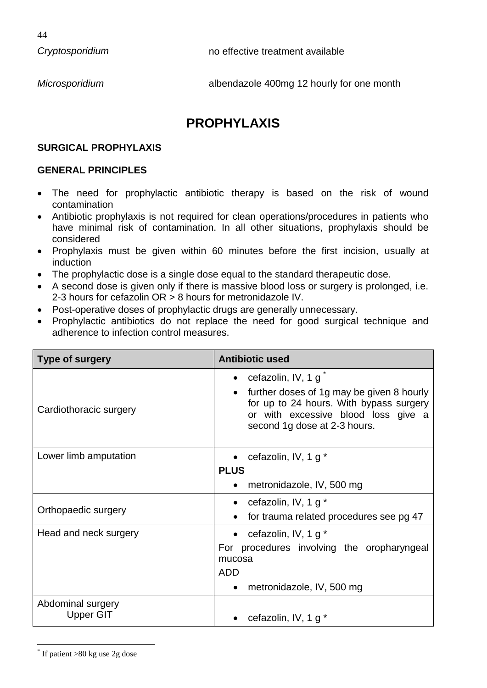*Cryptosporidium* no effective treatment available

*Microsporidium* albendazole 400mg 12 hourly for one month

# <span id="page-43-1"></span><span id="page-43-0"></span>**PROPHYLAXIS**

#### **SURGICAL PROPHYLAXIS**

#### **GENERAL PRINCIPLES**

- The need for prophylactic antibiotic therapy is based on the risk of wound contamination
- Antibiotic prophylaxis is not required for clean operations/procedures in patients who have minimal risk of contamination. In all other situations, prophylaxis should be considered
- Prophylaxis must be given within 60 minutes before the first incision, usually at induction
- The prophylactic dose is a single dose equal to the standard therapeutic dose.
- A second dose is given only if there is massive blood loss or surgery is prolonged, i.e. 2-3 hours for cefazolin OR > 8 hours for metronidazole IV.
- Post-operative doses of prophylactic drugs are generally unnecessary.
- Prophylactic antibiotics do not replace the need for good surgical technique and adherence to infection control measures.

| Type of surgery        | <b>Antibiotic used</b>                                                                                                                                                                         |  |  |
|------------------------|------------------------------------------------------------------------------------------------------------------------------------------------------------------------------------------------|--|--|
| Cardiothoracic surgery | cefazolin, IV, 1 g <sup>*</sup><br>further doses of 1g may be given 8 hourly<br>for up to 24 hours. With bypass surgery<br>or with excessive blood loss give a<br>second 1g dose at 2-3 hours. |  |  |
| Lower limb amputation  | cefazolin, IV, 1 g *                                                                                                                                                                           |  |  |
|                        | <b>PLUS</b>                                                                                                                                                                                    |  |  |
|                        | metronidazole, IV, 500 mg                                                                                                                                                                      |  |  |
|                        | cefazolin, IV, 1 g $*$                                                                                                                                                                         |  |  |
| Orthopaedic surgery    | for trauma related procedures see pg 47                                                                                                                                                        |  |  |
| Head and neck surgery  | cefazolin, IV, 1 g *                                                                                                                                                                           |  |  |
|                        | For procedures involving the oropharyngeal                                                                                                                                                     |  |  |
|                        | mucosa                                                                                                                                                                                         |  |  |
|                        | <b>ADD</b>                                                                                                                                                                                     |  |  |
|                        | metronidazole, IV, 500 mg                                                                                                                                                                      |  |  |
| Abdominal surgery      |                                                                                                                                                                                                |  |  |
| Upper GIT              | cefazolin, IV, 1 g *                                                                                                                                                                           |  |  |

1

<sup>\*</sup> If patient >80 kg use 2g dose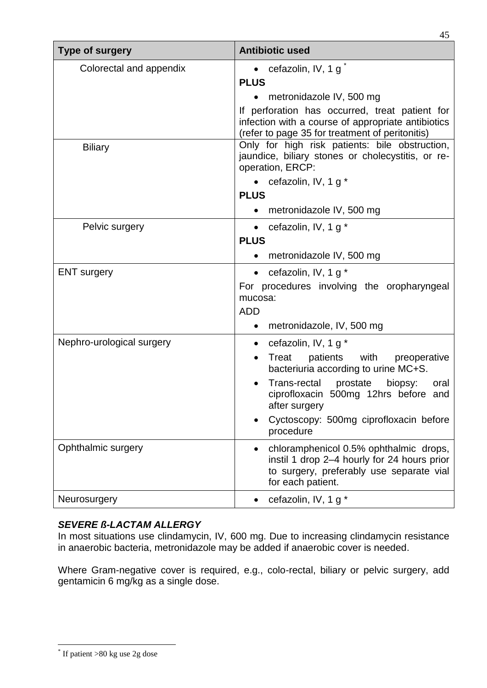| <b>Type of surgery</b>    | <b>Antibiotic used</b>                                                                                                                                                              |  |  |
|---------------------------|-------------------------------------------------------------------------------------------------------------------------------------------------------------------------------------|--|--|
| Colorectal and appendix   | cefazolin, IV, 1 g <sup>*</sup><br><b>PLUS</b>                                                                                                                                      |  |  |
|                           | metronidazole IV, 500 mg<br>If perforation has occurred, treat patient for<br>infection with a course of appropriate antibiotics<br>(refer to page 35 for treatment of peritonitis) |  |  |
| <b>Biliary</b>            | Only for high risk patients: bile obstruction,<br>jaundice, biliary stones or cholecystitis, or re-<br>operation, ERCP:                                                             |  |  |
|                           | • cefazolin, IV, 1 $g^*$                                                                                                                                                            |  |  |
|                           | <b>PLUS</b><br>metronidazole IV, 500 mg                                                                                                                                             |  |  |
| Pelvic surgery            | cefazolin, IV, 1 g *<br>$\bullet$                                                                                                                                                   |  |  |
|                           | <b>PLUS</b>                                                                                                                                                                         |  |  |
|                           | metronidazole IV, 500 mg                                                                                                                                                            |  |  |
| <b>ENT</b> surgery        | cefazolin, IV, 1 g *<br>$\bullet$<br>For procedures involving the oropharyngeal<br>mucosa:<br><b>ADD</b>                                                                            |  |  |
|                           | metronidazole, IV, 500 mg<br>$\bullet$                                                                                                                                              |  |  |
| Nephro-urological surgery | cefazolin, IV, 1 g *<br>$\bullet$<br>patients with preoperative<br>Treat<br>bacteriuria according to urine MC+S.                                                                    |  |  |
|                           | Trans-rectal<br>prostate<br>biopsy:<br>oral<br>ciprofloxacin 500mg 12hrs before and<br>after surgery                                                                                |  |  |
|                           | Cyctoscopy: 500mg ciprofloxacin before<br>procedure                                                                                                                                 |  |  |
| Ophthalmic surgery        | chloramphenicol 0.5% ophthalmic drops,<br>instil 1 drop 2-4 hourly for 24 hours prior<br>to surgery, preferably use separate vial<br>for each patient.                              |  |  |
| Neurosurgery              | cefazolin, IV, 1 g *                                                                                                                                                                |  |  |

#### *SEVERE ß-LACTAM ALLERGY*

In most situations use clindamycin, IV, 600 mg. Due to increasing clindamycin resistance in anaerobic bacteria, metronidazole may be added if anaerobic cover is needed.

Where Gram-negative cover is required, e.g., colo-rectal, biliary or pelvic surgery, add gentamicin 6 mg/kg as a single dose.

 $\overline{a}$ 

<sup>45</sup>

<sup>\*</sup> If patient >80 kg use 2g dose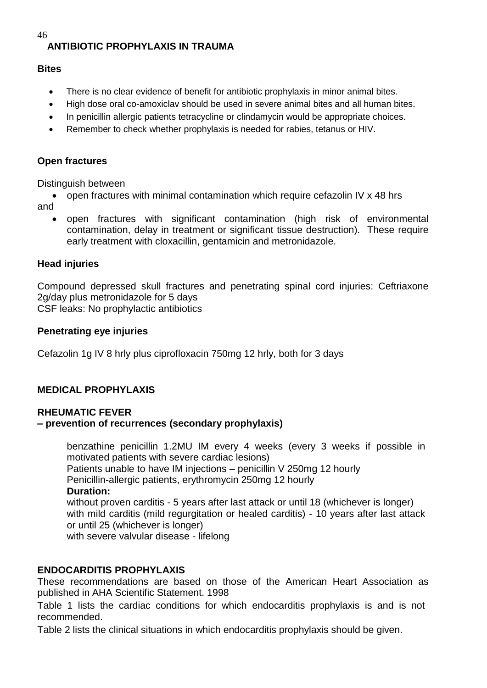# <span id="page-45-0"></span>**ANTIBIOTIC PROPHYLAXIS IN TRAUMA**

#### **Bites**

- There is no clear evidence of benefit for antibiotic prophylaxis in minor animal bites.
- High dose oral co-amoxiclav should be used in severe animal bites and all human bites.
- In penicillin allergic patients tetracycline or clindamycin would be appropriate choices.
- Remember to check whether prophylaxis is needed for rabies, tetanus or HIV.

## **Open fractures**

Distinguish between

 open fractures with minimal contamination which require cefazolin IV x 48 hrs and

 open fractures with significant contamination (high risk of environmental contamination, delay in treatment or significant tissue destruction). These require early treatment with cloxacillin, gentamicin and metronidazole.

## **Head injuries**

Compound depressed skull fractures and penetrating spinal cord injuries: Ceftriaxone 2g/day plus metronidazole for 5 days CSF leaks: No prophylactic antibiotics

#### **Penetrating eye injuries**

Cefazolin 1g IV 8 hrly plus ciprofloxacin 750mg 12 hrly, both for 3 days

# **MEDICAL PROPHYLAXIS**

#### **RHEUMATIC FEVER**

#### **– prevention of recurrences (secondary prophylaxis)**

<span id="page-45-1"></span>benzathine penicillin 1.2MU IM every 4 weeks (every 3 weeks if possible in motivated patients with severe cardiac lesions)

Patients unable to have IM injections – penicillin V 250mg 12 hourly

Penicillin-allergic patients, erythromycin 250mg 12 hourly

#### **Duration:**

without proven carditis - 5 years after last attack or until 18 (whichever is longer) with mild carditis (mild regurgitation or healed carditis) - 10 years after last attack or until 25 (whichever is longer)

<span id="page-45-2"></span>with severe valvular disease - lifelong

# **ENDOCARDITIS PROPHYLAXIS**

These recommendations are based on those of the American Heart Association as published in AHA Scientific Statement. 1998

Table 1 lists the cardiac conditions for which endocarditis prophylaxis is and is not recommended.

Table 2 lists the clinical situations in which endocarditis prophylaxis should be given.

46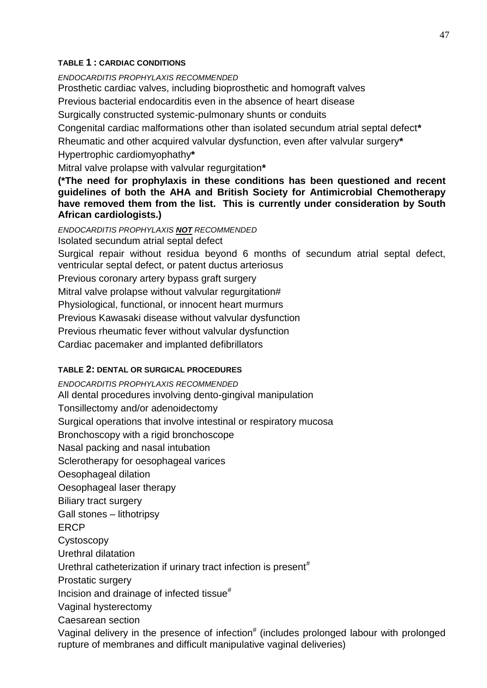#### **TABLE 1 : CARDIAC CONDITIONS**

*ENDOCARDITIS PROPHYLAXIS RECOMMENDED* Prosthetic cardiac valves, including bioprosthetic and homograft valves Previous bacterial endocarditis even in the absence of heart disease Surgically constructed systemic-pulmonary shunts or conduits Congenital cardiac malformations other than isolated secundum atrial septal defect**\*** Rheumatic and other acquired valvular dysfunction, even after valvular surgery**\*** Hypertrophic cardiomyophathy**\*** Mitral valve prolapse with valvular regurgitation**\* (\*The need for prophylaxis in these conditions has been questioned and recent guidelines of both the AHA and British Society for Antimicrobial Chemotherapy have removed them from the list. This is currently under consideration by South** 

**African cardiologists.)**

*ENDOCARDITIS PROPHYLAXIS NOT RECOMMENDED* Isolated secundum atrial septal defect

Surgical repair without residua beyond 6 months of secundum atrial septal defect, ventricular septal defect, or patent ductus arteriosus

Previous coronary artery bypass graft surgery

Mitral valve prolapse without valvular regurgitation#

Physiological, functional, or innocent heart murmurs

Previous Kawasaki disease without valvular dysfunction

Previous rheumatic fever without valvular dysfunction

Cardiac pacemaker and implanted defibrillators

#### **TABLE 2: DENTAL OR SURGICAL PROCEDURES**

*ENDOCARDITIS PROPHYLAXIS RECOMMENDED* All dental procedures involving dento-gingival manipulation Tonsillectomy and/or adenoidectomy Surgical operations that involve intestinal or respiratory mucosa Bronchoscopy with a rigid bronchoscope Nasal packing and nasal intubation Sclerotherapy for oesophageal varices Oesophageal dilation Oesophageal laser therapy Biliary tract surgery Gall stones – lithotripsy ERCP **Cystoscopy** Urethral dilatation Urethral catheterization if urinary tract infection is present $*$ Prostatic surgery Incision and drainage of infected tissue $*$ Vaginal hysterectomy Caesarean section Vaginal delivery in the presence of infection<sup>#</sup> (includes prolonged labour with prolonged rupture of membranes and difficult manipulative vaginal deliveries)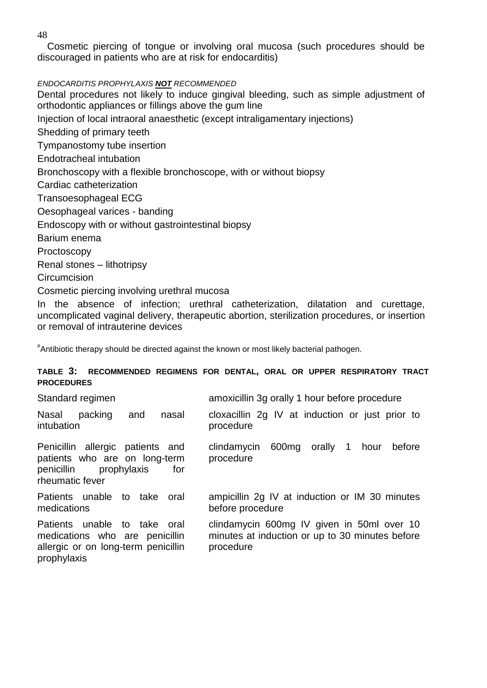48

Cosmetic piercing of tongue or involving oral mucosa (such procedures should be discouraged in patients who are at risk for endocarditis)

#### *ENDOCARDITIS PROPHYLAXIS NOT RECOMMENDED*

Dental procedures not likely to induce gingival bleeding, such as simple adjustment of orthodontic appliances or fillings above the gum line Injection of local intraoral anaesthetic (except intraligamentary injections) Shedding of primary teeth Tympanostomy tube insertion Endotracheal intubation Bronchoscopy with a flexible bronchoscope, with or without biopsy Cardiac catheterization Transoesophageal ECG Oesophageal varices - banding Endoscopy with or without gastrointestinal biopsy Barium enema **Proctoscopy** Renal stones – lithotripsy Circumcision Cosmetic piercing involving urethral mucosa In the absence of infection; urethral catheterization, dilatation and curettage, uncomplicated vaginal delivery, therapeutic abortion, sterilization procedures, or insertion

or removal of intrauterine devices

# Antibiotic therapy should be directed against the known or most likely bacterial pathogen.

#### **TABLE 3: RECOMMENDED REGIMENS FOR DENTAL, ORAL OR UPPER RESPIRATORY TRACT PROCEDURES**

| Standard regimen                                                                                                         | amoxicillin 3g orally 1 hour before procedure                                                              |
|--------------------------------------------------------------------------------------------------------------------------|------------------------------------------------------------------------------------------------------------|
| Nasal<br>nasal<br>packing<br>and<br>intubation                                                                           | cloxacillin 2g IV at induction or just prior to<br>procedure                                               |
| Penicillin allergic patients and<br>patients who are on long-term<br>prophylaxis<br>penicillin<br>for<br>rheumatic fever | 600 <sub>mg</sub><br>clindamycin<br>before<br>orally 1<br>hour<br>procedure                                |
| Patients unable to take oral<br>medications                                                                              | ampicillin 2g IV at induction or IM 30 minutes<br>before procedure                                         |
| Patients unable to take oral<br>medications who are penicillin<br>allergic or on long-term penicillin<br>prophylaxis     | clindamycin 600mg IV given in 50ml over 10<br>minutes at induction or up to 30 minutes before<br>procedure |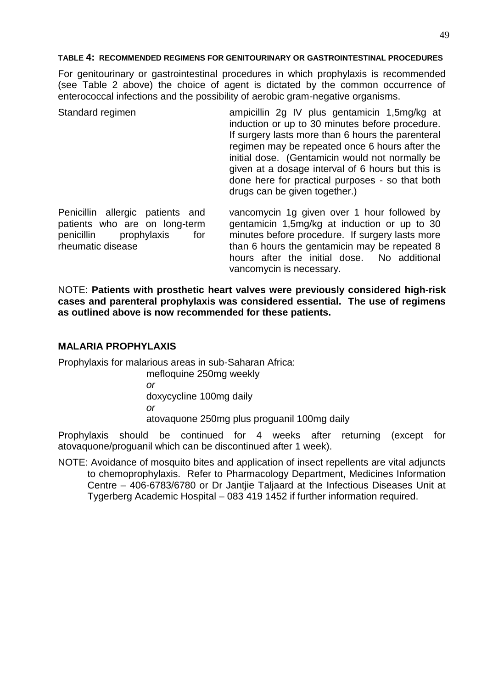#### **TABLE 4: RECOMMENDED REGIMENS FOR GENITOURINARY OR GASTROINTESTINAL PROCEDURES**

For genitourinary or gastrointestinal procedures in which prophylaxis is recommended (see Table 2 above) the choice of agent is dictated by the common occurrence of enterococcal infections and the possibility of aerobic gram-negative organisms.

| Standard regimen                                                                                      | ampicillin 2g IV plus gentamicin 1,5mg/kg at<br>induction or up to 30 minutes before procedure.<br>If surgery lasts more than 6 hours the parenteral<br>regimen may be repeated once 6 hours after the<br>initial dose. (Gentamicin would not normally be<br>given at a dosage interval of 6 hours but this is<br>done here for practical purposes - so that both<br>drugs can be given together.) |
|-------------------------------------------------------------------------------------------------------|----------------------------------------------------------------------------------------------------------------------------------------------------------------------------------------------------------------------------------------------------------------------------------------------------------------------------------------------------------------------------------------------------|
| Penicillin allergic patients and<br>patients who are on long-term<br>penicillin<br>prophylaxis<br>for | vancomycin 1g given over 1 hour followed by<br>gentamicin 1,5mg/kg at induction or up to 30<br>minutes before procedure. If surgery lasts more                                                                                                                                                                                                                                                     |

minutes before procedure. If surgery lasts more than 6 hours the gentamicin may be repeated 8 hours after the initial dose. No additional vancomycin is necessary.

NOTE: **Patients with prosthetic heart valves were previously considered high-risk cases and parenteral prophylaxis was considered essential. The use of regimens as outlined above is now recommended for these patients.**

#### <span id="page-48-0"></span>**MALARIA PROPHYLAXIS**

rheumatic disease

Prophylaxis for malarious areas in sub-Saharan Africa:

mefloquine 250mg weekly *or* doxycycline 100mg daily *or* atovaquone 250mg plus proguanil 100mg daily

Prophylaxis should be continued for 4 weeks after returning (except for atovaquone/proguanil which can be discontinued after 1 week).

NOTE: Avoidance of mosquito bites and application of insect repellents are vital adjuncts to chemoprophylaxis. Refer to Pharmacology Department, Medicines Information Centre – 406-6783/6780 or Dr Jantjie Taljaard at the Infectious Diseases Unit at Tygerberg Academic Hospital – 083 419 1452 if further information required.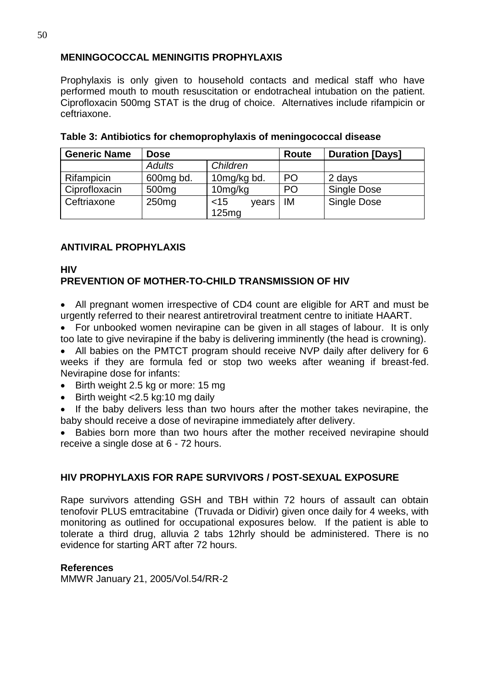#### <span id="page-49-0"></span>**MENINGOCOCCAL MENINGITIS PROPHYLAXIS**

Prophylaxis is only given to household contacts and medical staff who have performed mouth to mouth resuscitation or endotracheal intubation on the patient. Ciprofloxacin 500mg STAT is the drug of choice. Alternatives include rifampicin or ceftriaxone.

| <b>Generic Name</b> | <b>Dose</b>       |                          | Route          | <b>Duration [Days]</b> |
|---------------------|-------------------|--------------------------|----------------|------------------------|
|                     | <b>Adults</b>     | Children                 |                |                        |
| Rifampicin          | 600mg bd.         | 10mg/kg bd.              | P <sub>O</sub> | 2 days                 |
| Ciprofloxacin       | 500 <sub>mg</sub> | 10 <sub>mg/kg</sub>      | P <sub>O</sub> | Single Dose            |
| Ceftriaxone         | 250 <sub>mg</sub> | $<$ 15<br>vears<br>125mg | IM             | <b>Single Dose</b>     |

|  |  | Table 3: Antibiotics for chemoprophylaxis of meningococcal disease |
|--|--|--------------------------------------------------------------------|
|--|--|--------------------------------------------------------------------|

## **ANTIVIRAL PROPHYLAXIS**

#### **HIV PREVENTION OF MOTHER-TO-CHILD TRANSMISSION OF HIV**

 All pregnant women irrespective of CD4 count are eligible for ART and must be urgently referred to their nearest antiretroviral treatment centre to initiate HAART.

 For unbooked women nevirapine can be given in all stages of labour. It is only too late to give nevirapine if the baby is delivering imminently (the head is crowning).

 All babies on the PMTCT program should receive NVP daily after delivery for 6 weeks if they are formula fed or stop two weeks after weaning if breast-fed. Nevirapine dose for infants:

- Birth weight 2.5 kg or more: 15 mg
- Birth weight < 2.5 kg: 10 mg daily
- If the baby delivers less than two hours after the mother takes nevirapine, the baby should receive a dose of nevirapine immediately after delivery.

• Babies born more than two hours after the mother received nevirapine should receive a single dose at 6 - 72 hours.

#### <span id="page-49-1"></span>**HIV PROPHYLAXIS FOR RAPE SURVIVORS / POST-SEXUAL EXPOSURE**

Rape survivors attending GSH and TBH within 72 hours of assault can obtain tenofovir PLUS emtracitabine (Truvada or Didivir) given once daily for 4 weeks, with monitoring as outlined for occupational exposures below. If the patient is able to tolerate a third drug, alluvia 2 tabs 12hrly should be administered. There is no evidence for starting ART after 72 hours.

#### **References**

MMWR January 21, 2005/Vol.54/RR-2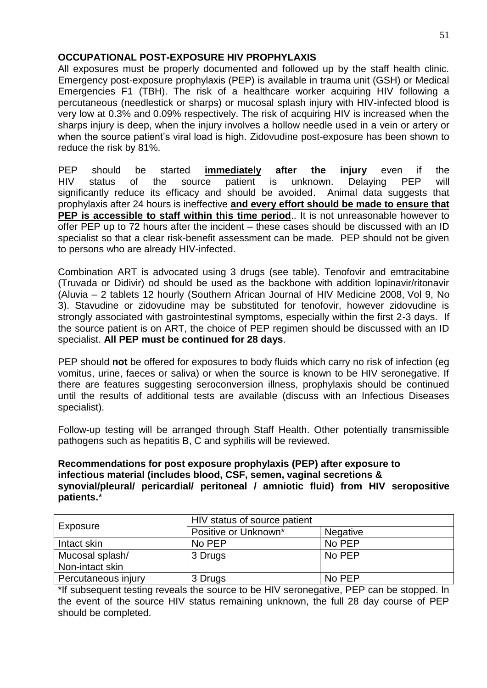#### <span id="page-50-0"></span>**OCCUPATIONAL POST-EXPOSURE HIV PROPHYLAXIS**

All exposures must be properly documented and followed up by the staff health clinic. Emergency post-exposure prophylaxis (PEP) is available in trauma unit (GSH) or Medical Emergencies F1 (TBH). The risk of a healthcare worker acquiring HIV following a percutaneous (needlestick or sharps) or mucosal splash injury with HIV-infected blood is very low at 0.3% and 0.09% respectively. The risk of acquiring HIV is increased when the sharps injury is deep, when the injury involves a hollow needle used in a vein or artery or when the source patient's viral load is high. Zidovudine post-exposure has been shown to reduce the risk by 81%.

PEP should be started **immediately after the injury** even if the HIV status of the source patient is unknown. Delaying PEP will significantly reduce its efficacy and should be avoided. Animal data suggests that prophylaxis after 24 hours is ineffective **and every effort should be made to ensure that PEP is accessible to staff within this time period..** It is not unreasonable however to offer PEP up to 72 hours after the incident – these cases should be discussed with an ID specialist so that a clear risk-benefit assessment can be made. PEP should not be given to persons who are already HIV-infected.

Combination ART is advocated using 3 drugs (see table). Tenofovir and emtracitabine (Truvada or Didivir) od should be used as the backbone with addition lopinavir/ritonavir (Aluvia – 2 tablets 12 hourly (Southern African Journal of HIV Medicine 2008, Vol 9, No 3). Stavudine or zidovudine may be substituted for tenofovir, however zidovudine is strongly associated with gastrointestinal symptoms, especially within the first 2-3 days. If the source patient is on ART, the choice of PEP regimen should be discussed with an ID specialist. **All PEP must be continued for 28 days**.

PEP should **not** be offered for exposures to body fluids which carry no risk of infection (eg vomitus, urine, faeces or saliva) or when the source is known to be HIV seronegative. If there are features suggesting seroconversion illness, prophylaxis should be continued until the results of additional tests are available (discuss with an Infectious Diseases specialist).

Follow-up testing will be arranged through Staff Health. Other potentially transmissible pathogens such as hepatitis B, C and syphilis will be reviewed.

#### **Recommendations for post exposure prophylaxis (PEP) after exposure to infectious material (includes blood, CSF, semen, vaginal secretions & synovial/pleural/ pericardial/ peritoneal / amniotic fluid) from HIV seropositive patients.**\*

|                     | HIV status of source patient |                 |  |
|---------------------|------------------------------|-----------------|--|
| Exposure            | Positive or Unknown*         | <b>Negative</b> |  |
| Intact skin         | No PEP                       | No PEP          |  |
| Mucosal splash/     | 3 Drugs                      | No PEP          |  |
| Non-intact skin     |                              |                 |  |
| Percutaneous injury | 3 Drugs                      | No PEP          |  |

\*If subsequent testing reveals the source to be HIV seronegative, PEP can be stopped. In the event of the source HIV status remaining unknown, the full 28 day course of PEP should be completed.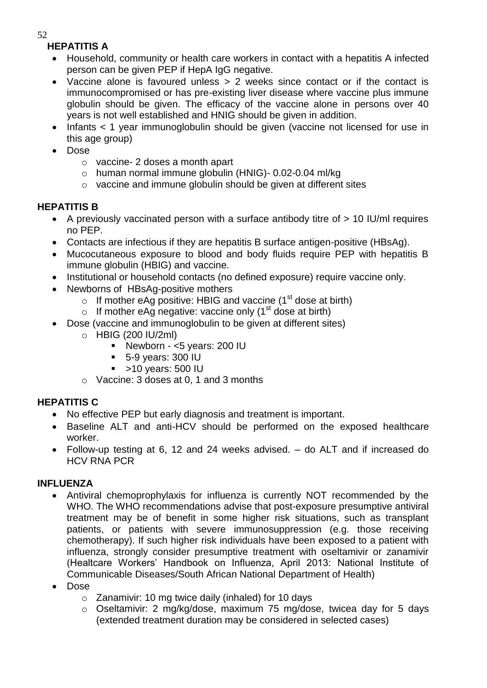# **HEPATITIS A**

- <span id="page-51-0"></span> Household, community or health care workers in contact with a hepatitis A infected person can be given PEP if HepA IgG negative.
- Vaccine alone is favoured unless > 2 weeks since contact or if the contact is immunocompromised or has pre-existing liver disease where vaccine plus immune globulin should be given. The efficacy of the vaccine alone in persons over 40 years is not well established and HNIG should be given in addition.
- Infants < 1 year immunoglobulin should be given (vaccine not licensed for use in this age group)
- Dose
	- o vaccine- 2 doses a month apart
	- o human normal immune globulin (HNIG)- 0.02-0.04 ml/kg
	- o vaccine and immune globulin should be given at different sites

# **HEPATITIS B**

- <span id="page-51-1"></span> A previously vaccinated person with a surface antibody titre of > 10 IU/ml requires no PEP.
- Contacts are infectious if they are hepatitis B surface antigen-positive (HBsAg).
- Mucocutaneous exposure to blood and body fluids require PEP with hepatitis B immune globulin (HBIG) and vaccine.
- Institutional or household contacts (no defined exposure) require vaccine only.
- Newborns of HBsAg-positive mothers
	- $\circ$  If mother eAg positive: HBIG and vaccine (1<sup>st</sup> dose at birth)
	- $\circ$  If mother eAg negative: vaccine only (1<sup>st</sup> dose at birth)
- Dose (vaccine and immunoglobulin to be given at different sites)
	- o HBIG (200 IU/2ml)
		- Newborn <5 years: 200 IU
		- 5-9 years: 300 IU
		- $\blacktriangleright$  >10 years: 500 IU
	- o Vaccine: 3 doses at 0, 1 and 3 months

# **HEPATITIS C**

- <span id="page-51-2"></span>No effective PEP but early diagnosis and treatment is important.
- Baseline ALT and anti-HCV should be performed on the exposed healthcare worker.
- Follow-up testing at 6, 12 and 24 weeks advised. do ALT and if increased do HCV RNA PCR

# **INFLUENZA**

- <span id="page-51-3"></span> Antiviral chemoprophylaxis for influenza is currently NOT recommended by the WHO. The WHO recommendations advise that post-exposure presumptive antiviral treatment may be of benefit in some higher risk situations, such as transplant patients, or patients with severe immunosuppression (e.g. those receiving chemotherapy). If such higher risk individuals have been exposed to a patient with influenza, strongly consider presumptive treatment with oseltamivir or zanamivir (Healtcare Workers' Handbook on Influenza, April 2013: National Institute of Communicable Diseases/South African National Department of Health)
- Dose
	- o Zanamivir: 10 mg twice daily (inhaled) for 10 days
	- o Oseltamivir: 2 mg/kg/dose, maximum 75 mg/dose, twicea day for 5 days (extended treatment duration may be considered in selected cases)

#### 52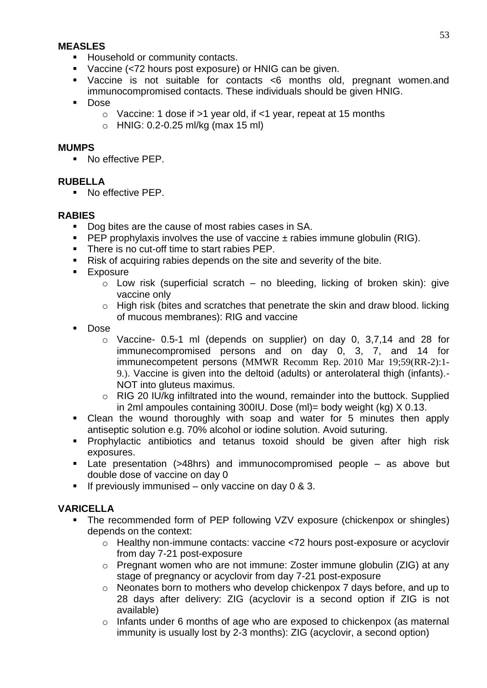#### **MEASLES**

- <span id="page-52-0"></span>**Household or community contacts.**
- Vaccine (<72 hours post exposure) or HNIG can be given.
- Vaccine is not suitable for contacts <6 months old, pregnant women.and immunocompromised contacts. These individuals should be given HNIG.
- **Dose** 
	- o Vaccine: 1 dose if >1 year old, if <1 year, repeat at 15 months
	- $\circ$  HNIG: 0.2-0.25 ml/kg (max 15 ml)

#### **MUMPS**

<span id="page-52-1"></span>• No effective PEP.

#### **RUBELLA**

<span id="page-52-2"></span>• No effective PEP.

#### **RABIES**

- <span id="page-52-3"></span>Dog bites are the cause of most rabies cases in SA.
- **PEP prophylaxis involves the use of vaccine**  $\pm$  **rabies immune globulin (RIG).**
- **There is no cut-off time to start rabies PEP.**
- Risk of acquiring rabies depends on the site and severity of the bite.
- **Exposure** 
	- $\circ$  Low risk (superficial scratch no bleeding, licking of broken skin): give vaccine only
	- o High risk (bites and scratches that penetrate the skin and draw blood. licking of mucous membranes): RIG and vaccine
- Dose
	- o Vaccine- 0.5-1 ml (depends on supplier) on day 0, 3,7,14 and 28 for immunecompromised persons and on day 0, 3, 7, and 14 for immunecompetent persons ([MMWR Recomm Rep.](http://www.ncbi.nlm.nih.gov.ez.sun.ac.za/pubmed/20300058) 2010 Mar 19;59(RR-2):1- 9.). Vaccine is given into the deltoid (adults) or anterolateral thigh (infants).- NOT into gluteus maximus.
	- o RIG 20 IU/kg infiltrated into the wound, remainder into the buttock. Supplied in 2ml ampoules containing 300IU. Dose (ml)= body weight (kg) X 0.13.
- Clean the wound thoroughly with soap and water for 5 minutes then apply antiseptic solution e.g. 70% alcohol or iodine solution. Avoid suturing.
- **Prophylactic antibiotics and tetanus toxoid should be given after high risk** exposures.
- Late presentation (>48hrs) and immunocompromised people as above but double dose of vaccine on day 0
- If previously immunised only vaccine on day  $0 \& 3$ .

#### **VARICELLA**

- <span id="page-52-4"></span> The recommended form of PEP following VZV exposure (chickenpox or shingles) depends on the context:
	- o Healthy non-immune contacts: vaccine <72 hours post-exposure or acyclovir from day 7-21 post-exposure
	- o Pregnant women who are not immune: Zoster immune globulin (ZIG) at any stage of pregnancy or acyclovir from day 7-21 post-exposure
	- o Neonates born to mothers who develop chickenpox 7 days before, and up to 28 days after delivery: ZIG (acyclovir is a second option if ZIG is not available)
	- o Infants under 6 months of age who are exposed to chickenpox (as maternal immunity is usually lost by 2-3 months): ZIG (acyclovir, a second option)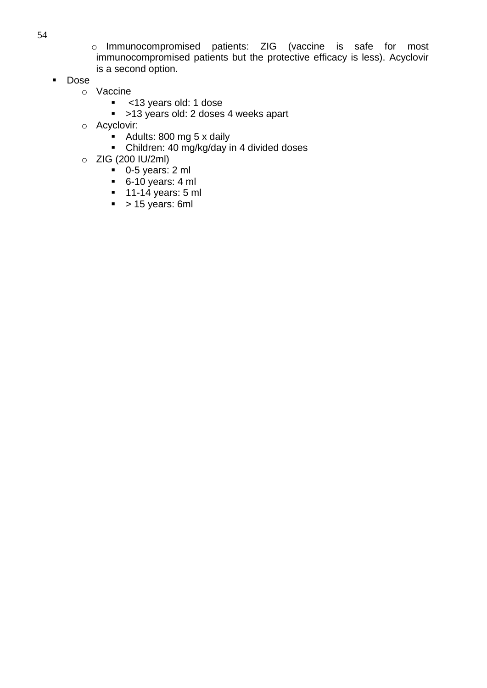o Immunocompromised patients: ZIG (vaccine is safe for most immunocompromised patients but the protective efficacy is less). Acyclovir is a second option.

- **Dose** 
	- o Vaccine
		- **-** <13 years old: 1 dose
		- >13 years old: 2 doses 4 weeks apart
	- o Acyclovir:
		- Adults: 800 mg 5 x daily
		- Children: 40 mg/kg/day in 4 divided doses
	- o ZIG (200 IU/2ml)
		- 0-5 years: 2 ml
		- 6-10 years: 4 ml
		- $\blacksquare$  11-14 years: 5 ml
		- $\blacktriangleright$  > 15 years: 6ml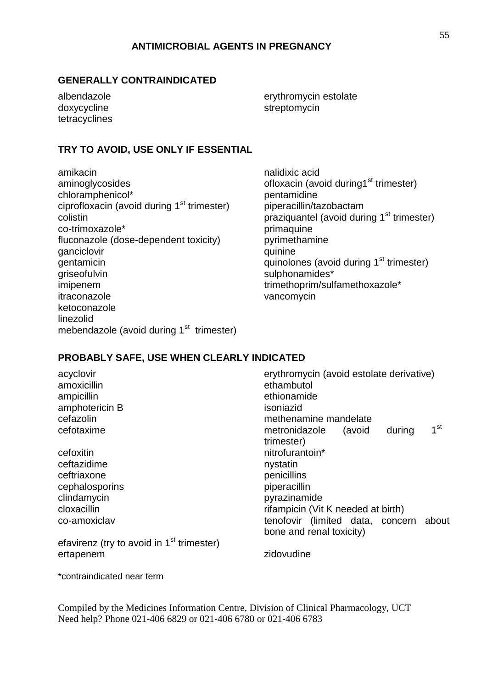#### **GENERALLY CONTRAINDICATED**

tetracyclines

albendazole erythromycin estolate doxycycline streptomycin

#### **TRY TO AVOID, USE ONLY IF ESSENTIAL**

amikacin nalidixic acid aminoglycosides ofloxacin (avoid during1<sup>st</sup> trimester)<br>chloramphenicol\* ofloxacin pentamidine chloramphenicol\* ciprofloxacin (avoid during  $1<sup>st</sup>$  trimester) piperacillin/tazobactam colistin colistin praziquantel (avoid during 1<sup>st</sup> trimester) co-trimoxazole\* primaquine fluconazole (dose-dependent toxicity) pyrimethamine ganciclovir quinine gentamicin quinolones (avoid during 1<sup>st</sup> trimester) griseofulvin sulphonamides\* imipenem trimethoprim/sulfamethoxazole\* itraconazole vancomycin ketoconazole linezolid mebendazole (avoid during 1<sup>st</sup> trimester)

<span id="page-54-0"></span>

#### **PROBABLY SAFE, USE WHEN CLEARLY INDICATED**

| acyclovir<br>amoxicillin                              | erythromycin (avoid estolate derivative)<br>ethambutol |  |
|-------------------------------------------------------|--------------------------------------------------------|--|
| ampicillin                                            | ethionamide                                            |  |
| amphotericin B                                        | isoniazid                                              |  |
| cefazolin                                             | methenamine mandelate                                  |  |
| cefotaxime                                            | 1 <sup>st</sup><br>metronidazole<br>during<br>(avoid   |  |
|                                                       | trimester)                                             |  |
| cefoxitin                                             | nitrofurantoin*                                        |  |
| ceftazidime                                           | nystatin                                               |  |
| ceftriaxone                                           | penicillins                                            |  |
| cephalosporins                                        | piperacillin                                           |  |
| clindamycin                                           | pyrazinamide                                           |  |
| cloxacillin                                           | rifampicin (Vit K needed at birth)                     |  |
| co-amoxiclav                                          | tenofovir (limited data, concern<br>about              |  |
|                                                       | bone and renal toxicity)                               |  |
| efavirenz (try to avoid in 1 <sup>st</sup> trimester) |                                                        |  |

ertapenem zidovudine

\*contraindicated near term

Compiled by the Medicines Information Centre, Division of Clinical Pharmacology, UCT Need help? Phone 021-406 6829 or 021-406 6780 or 021-406 6783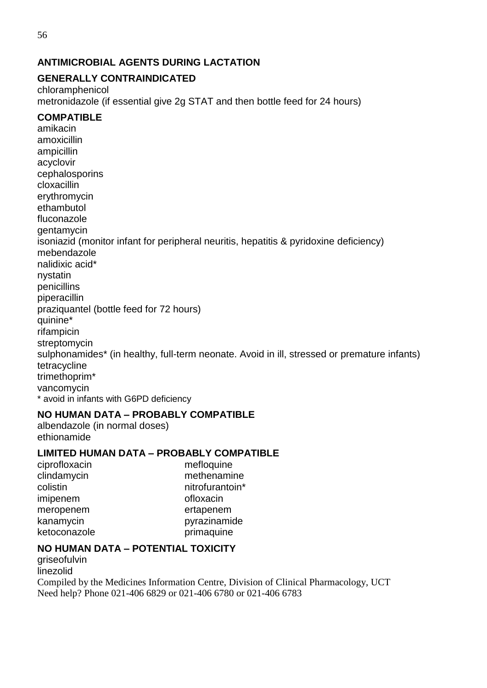# <span id="page-55-0"></span>**ANTIMICROBIAL AGENTS DURING LACTATION**

# **GENERALLY CONTRAINDICATED**

chloramphenicol metronidazole (if essential give 2g STAT and then bottle feed for 24 hours)

# **COMPATIBLE**

amikacin amoxicillin ampicillin acyclovir cephalosporins cloxacillin erythromycin ethambutol fluconazole gentamycin isoniazid (monitor infant for peripheral neuritis, hepatitis & pyridoxine deficiency) mebendazole nalidixic acid\* nystatin penicillins piperacillin praziquantel (bottle feed for 72 hours) quinine\* rifampicin streptomycin sulphonamides\* (in healthy, full-term neonate. Avoid in ill, stressed or premature infants) tetracycline trimethoprim\* vancomycin \* avoid in infants with G6PD deficiency

# **NO HUMAN DATA – PROBABLY COMPATIBLE**

albendazole (in normal doses) ethionamide

# **LIMITED HUMAN DATA – PROBABLY COMPATIBLE**

ciprofloxacin mefloquine clindamycin methenamine colistin nitrofurantoin\* imipenem ofloxacin meropenem ertapenem kanamycin pyrazinamide ketoconazole primaquine

# **NO HUMAN DATA – POTENTIAL TOXICITY**

griseofulvin linezolid Compiled by the Medicines Information Centre, Division of Clinical Pharmacology, UCT Need help? Phone 021-406 6829 or 021-406 6780 or 021-406 6783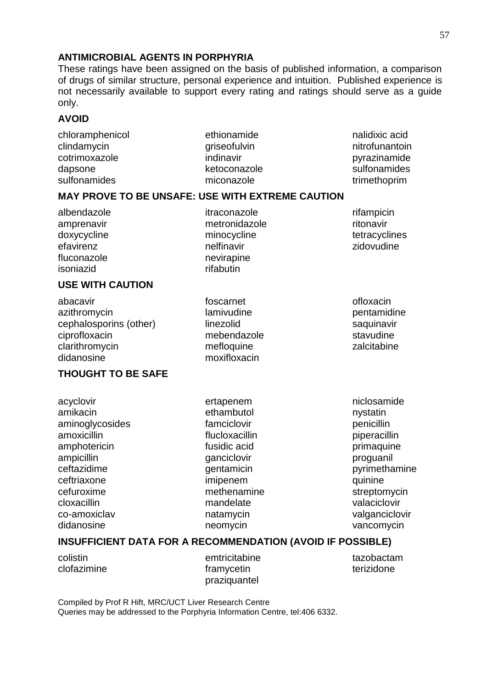#### **ANTIMICROBIAL AGENTS IN PORPHYRIA**

These ratings have been assigned on the basis of published information, a comparison of drugs of similar structure, personal experience and intuition. Published experience is not necessarily available to support every rating and ratings should serve as a guide only.

#### **AVOID**

chloramphenicol ethionamide ethionamic ethionamic chloramphenicol<br>clindamycin ethionamic erise ethionamic extension entity extends the clindamycin cotrimoxazole indinavir indinavir pyrazinamide dapsone betoconazole sulfonamides sulfonamides miconazole trimethoprim

<span id="page-56-0"></span>

qriseofulvin nitrofunantoin

#### **MAY PROVE TO BE UNSAFE: USE WITH EXTREME CAUTION**

| albendazole<br>amprenavir<br>doxycycline<br>efavirenz<br>fluconazole<br>isoniazid | itraconazole<br>metronidazole<br>minocycline<br>nelfinavir<br>nevirapine<br>rifabutin | rifampicin<br>ritonavir<br>tetracyclines<br>zidovudine |
|-----------------------------------------------------------------------------------|---------------------------------------------------------------------------------------|--------------------------------------------------------|
| <b>USE WITH CAUTION</b>                                                           |                                                                                       |                                                        |

## abacavir **contract of the contract of the contract of the contract of the contract of the contract of the contr** azithromycin lamivudine pentamidine cephalosporins (other) linezolid saquinavir ciprofloxacin mebendazole stavudine<br>
clarithromycin metloquine metloquine stavudine clarithromycin mefloquine

didanosine moxifloxacin

#### **THOUGHT TO BE SAFE**

ertapenem niclosamide ethambutol nystatin famciclovir **penicillin** flucloxacillin piperacillin piperacillin fusidic acid **primaquine** ganciclovir proguanil imipenem quinine methenamine streptomycin mandelate valaciclovir neomycin vancomycin

qentamicin pyrimethamine natamycin valganciclovir

#### **INSUFFICIENT DATA FOR A RECOMMENDATION (AVOID IF POSSIBLE)**

colistin emtricitabine tazobactam

clofazimine framycetin terizidone praziquantel

Compiled by Prof R Hift, MRC/UCT Liver Research Centre Queries may be addressed to the Porphyria Information Centre, tel:406 6332.